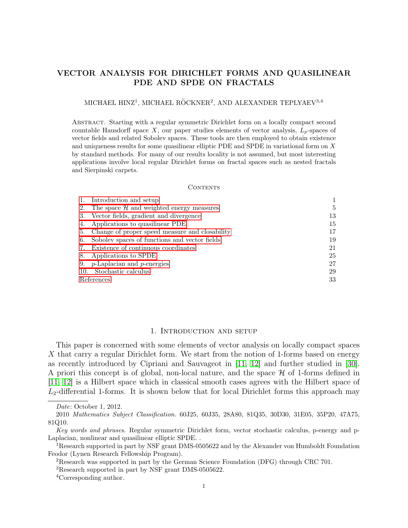# VECTOR ANALYSIS FOR DIRICHLET FORMS AND QUASILINEAR PDE AND SPDE ON FRACTALS

# MICHAEL HINZ<sup>1</sup>, MICHAEL RÖCKNER<sup>2</sup>, AND ALEXANDER TEPLYAEV<sup>3,4</sup>

Abstract. Starting with a regular symmetric Dirichlet form on a locally compact second countable Hausdorff space X, our paper studies elements of vector analysis,  $L_p$ -spaces of vector fields and related Sobolev spaces. These tools are then employed to obtain existence and uniqueness results for some quasilinear elliptic PDE and SPDE in variational form on X by standard methods. For many of our results locality is not assumed, but most interesting applications involve local regular Dirichlet forms on fractal spaces such as nested fractals and Sierpinski carpets.

#### CONTENTS

|            | 1. Introduction and setup                         |    |
|------------|---------------------------------------------------|----|
|            | 2. The space $H$ and weighted energy measures     | 5  |
|            | 3. Vector fields, gradient and divergence         | 13 |
|            | 4. Applications to quasilinear PDE                | 15 |
|            | 5. Change of proper speed measure and closability | 17 |
|            | 6. Sobolev spaces of functions and vector fields  | 19 |
|            | 7. Existence of continuous coordinates            | 21 |
|            | 8. Applications to SPDE                           | 25 |
|            | 9. <i>p</i> -Laplacian and <i>p</i> -energies     | 27 |
|            | 10. Stochastic calculus                           | 29 |
| References |                                                   | 33 |

### 1. Introduction and setup

<span id="page-0-0"></span>This paper is concerned with some elements of vector analysis on locally compact spaces X that carry a regular Dirichlet form. We start from the notion of 1-forms based on energy as recently introduced by Cipriani and Sauvageot in [\[11,](#page-32-1) [12\]](#page-32-2) and further studied in [\[30\]](#page-33-0). A priori this concept is of global, non-local nature, and the space  $H$  of 1-forms defined in [\[11,](#page-32-1) [12\]](#page-32-2) is a Hilbert space which in classical smooth cases agrees with the Hilbert space of  $L_2$ -differential 1-forms. It is shown below that for local Dirichlet forms this approach may

Date: October 1, 2012.

<sup>2010</sup> Mathematics Subject Classification. 60J25, 60J35, 28A80, 81Q35, 30D30, 31E05, 35P20, 47A75, 81Q10.

Key words and phrases. Regular symmetric Dirichlet form, vector stochastic calculus, p-energy and p-Laplacian, nonlinear and quasilinear elliptic SPDE. .

<sup>1</sup>Research supported in part by NSF grant DMS-0505622 and by the Alexander von Humboldt Foundation Feodor (Lynen Research Fellowship Program).

<sup>2</sup>Research was supported in part by the German Science Foundation (DFG) through CRC 701.

<sup>3</sup>Research supported in part by NSF grant DMS-0505622.

<sup>4</sup>Corresponding author.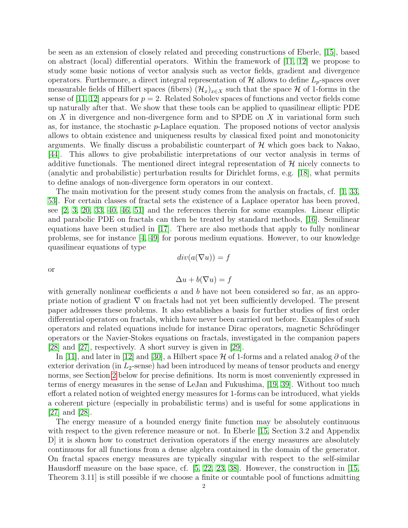be seen as an extension of closely related and preceding constructions of Eberle, [\[15\]](#page-32-3), based on abstract (local) differential operators. Within the framework of [\[11,](#page-32-1) [12\]](#page-32-2) we propose to study some basic notions of vector analysis such as vector fields, gradient and divergence operators. Furthermore, a direct integral representation of  $\mathcal{H}$  allows to define  $L_p$ -spaces over measurable fields of Hilbert spaces (fibers)  $(\mathcal{H}_x)_{x\in X}$  such that the space H of 1-forms in the sense of [\[11,](#page-32-1) [12\]](#page-32-2) appears for  $p = 2$ . Related Sobolev spaces of functions and vector fields come up naturally after that. We show that these tools can be applied to quasilinear elliptic PDE on  $X$  in divergence and non-divergence form and to SPDE on  $X$  in variational form such as, for instance, the stochastic p-Laplace equation. The proposed notions of vector analysis allows to obtain existence and uniqueness results by classical fixed point and monotonicity arguments. We finally discuss a probabilistic counterpart of  $\mathcal{H}$  which goes back to Nakao, [\[44\]](#page-33-1). This allows to give probabilistic interpretations of our vector analysis in terms of additive functionals. The mentioned direct integral representation of  $\mathcal{H}$  nicely connects to (analytic and probabilistic) perturbation results for Dirichlet forms, e.g. [\[18\]](#page-32-4), what permits to define analogs of non-divergence form operators in our context.

The main motivation for the present study comes from the analysis on fractals, cf. [\[1,](#page-32-0) [33,](#page-33-2) [53\]](#page-33-3). For certain classes of fractal sets the existence of a Laplace operator has been proved, see [\[2,](#page-32-5) [3,](#page-32-6) [20,](#page-32-7) [33,](#page-33-2) [40,](#page-33-4) [46,](#page-33-5) [51\]](#page-33-6) and the references therein for some examples. Linear elliptic and parabolic PDE on fractals can then be treated by standard methods, [\[16\]](#page-32-8). Semilinear equations have been studied in [\[17\]](#page-32-9). There are also methods that apply to fully nonlinear problems, see for instance [\[4,](#page-32-10) [49\]](#page-33-7) for porous medium equations. However, to our knowledge quasilinear equations of type

or

$$
\Delta u + b(\nabla u) = f
$$

 $div(a(\nabla u)) = f$ 

with generally nonlinear coefficients  $a$  and  $b$  have not been considered so far, as an appropriate notion of gradient  $\nabla$  on fractals had not yet been sufficiently developed. The present paper addresses these problems. It also establishes a basis for further studies of first order differential operators on fractals, which have never been carried out before. Examples of such operators and related equations include for instance Dirac operators, magnetic Schrödinger operators or the Navier-Stokes equations on fractals, investigated in the companion papers [\[28\]](#page-32-11) and [\[27\]](#page-32-12), respectively. A short survey is given in [\[29\]](#page-33-8).

In [\[11\]](#page-32-1), and later in [\[12\]](#page-32-2) and [\[30\]](#page-33-0), a Hilbert space H of 1-forms and a related analog  $\partial$  of the exterior derivation (in  $L_2$ -sense) had been introduced by means of tensor products and energy norms, see Section [2](#page-4-0) below for precise definitions. Its norm is most conveniently expressed in terms of energy measures in the sense of LeJan and Fukushima, [\[19,](#page-32-13) [39\]](#page-33-9). Without too much effort a related notion of weighted energy measures for 1-forms can be introduced, what yields a coherent picture (especially in probabilistic terms) and is useful for some applications in [\[27\]](#page-32-12) and [\[28\]](#page-32-11).

The energy measure of a bounded energy finite function may be absolutely continuous with respect to the given reference measure or not. In Eberle (15, Section 3.2 and Appendix D] it is shown how to construct derivation operators if the energy measures are absolutely continuous for all functions from a dense algebra contained in the domain of the generator. On fractal spaces energy measures are typically singular with respect to the self-similar Hausdorff measure on the base space, cf. [\[5,](#page-32-14) [22,](#page-32-15) [23,](#page-32-16) [38\]](#page-33-10). However, the construction in [\[15,](#page-32-3) Theorem 3.11] is still possible if we choose a finite or countable pool of functions admitting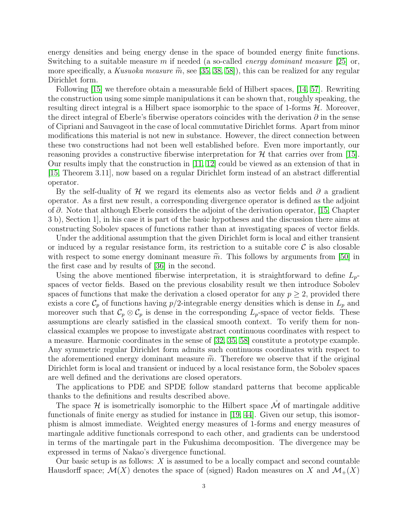energy densities and being energy dense in the space of bounded energy finite functions. Switching to a suitable measure m if needed (a so-called *energy dominant measure* [\[25\]](#page-32-17) or, more specifically, a Kusuoka measure  $\tilde{m}$ , see [\[35,](#page-33-11) [38,](#page-33-10) [58\]](#page-33-12)), this can be realized for any regular Dirichlet form.

Following [\[15\]](#page-32-3) we therefore obtain a measurable field of Hilbert spaces, [\[14,](#page-32-18) [57\]](#page-33-13). Rewriting the construction using some simple manipulations it can be shown that, roughly speaking, the resulting direct integral is a Hilbert space isomorphic to the space of 1-forms  $H$ . Moreover, the direct integral of Eberle's fiberwise operators coincides with the derivation  $\partial$  in the sense of Cipriani and Sauvageot in the case of local commutative Dirichlet forms. Apart from minor modifications this material is not new in substance. However, the direct connection between these two constructions had not been well established before. Even more importantly, our reasoning provides a constructive fiberwise interpretation for  $\mathcal{H}$  that carries over from [\[15\]](#page-32-3). Our results imply that the construction in [\[11,](#page-32-1) [12\]](#page-32-2) could be viewed as an extension of that in [\[15,](#page-32-3) Theorem 3.11], now based on a regular Dirichlet form instead of an abstract differential operator.

By the self-duality of H we regard its elements also as vector fields and  $\partial$  a gradient operator. As a first new result, a corresponding divergence operator is defined as the adjoint of ∂. Note that although Eberle considers the adjoint of the derivation operator, [\[15,](#page-32-3) Chapter 3 b), Section 1], in his case it is part of the basic hypotheses and the discussion there aims at constructing Sobolev spaces of functions rather than at investigating spaces of vector fields.

Under the additional assumption that the given Dirichlet form is local and either transient or induced by a regular resistance form, its restriction to a suitable core  $\mathcal C$  is also closable with respect to some energy dominant measure  $\tilde{m}$ . This follows by arguments from [\[50\]](#page-33-14) in the first case and by results of [\[36\]](#page-33-15) in the second.

Using the above mentioned fiberwise interpretation, it is straightforward to define  $L_p$ spaces of vector fields. Based on the previous closability result we then introduce Sobolev spaces of functions that make the derivation a closed operator for any  $p \geq 2$ , provided there exists a core  $\mathcal{C}_p$  of functions having  $p/2$ -integrable energy densities which is dense in  $L_p$  and moreover such that  $\mathcal{C}_p \otimes \mathcal{C}_p$  is dense in the corresponding  $L_p$ -space of vector fields. These assumptions are clearly satisfied in the classical smooth context. To verify them for nonclassical examples we propose to investigate abstract continuous coordinates with respect to a measure. Harmonic coordinates in the sense of [\[32,](#page-33-16) [35,](#page-33-11) [58\]](#page-33-12) constitute a prototype example. Any symmetric regular Dirichlet form admits such continuous coordinates with respect to the aforementioned energy dominant measure  $\tilde{m}$ . Therefore we observe that if the original Dirichlet form is local and transient or induced by a local resistance form, the Sobolev spaces are well defined and the derivations are closed operators.

The applications to PDE and SPDE follow standard patterns that become applicable thanks to the definitions and results described above.

The space  $\mathcal H$  is isometrically isomorphic to the Hilbert space  $\tilde{\mathcal M}$  of martingale additive functionals of finite energy as studied for instance in [\[19,](#page-32-13) [44\]](#page-33-1). Given our setup, this isomorphism is almost immediate. Weighted energy measures of 1-forms and energy measures of martingale additive functionals correspond to each other, and gradients can be understood in terms of the martingale part in the Fukushima decomposition. The divergence may be expressed in terms of Nakao's divergence functional.

Our basic setup is as follows:  $X$  is assumed to be a locally compact and second countable Hausdorff space;  $\mathcal{M}(X)$  denotes the space of (signed) Radon measures on X and  $\mathcal{M}_+(X)$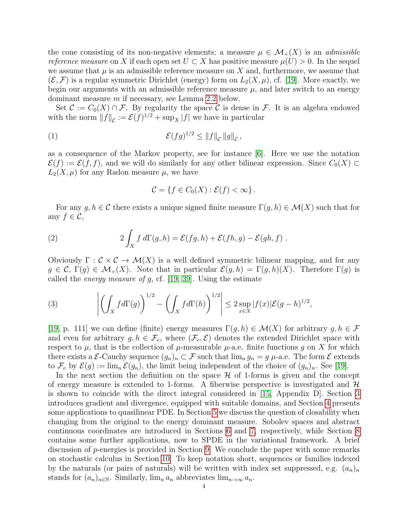the cone consisting of its non-negative elements; a measure  $\mu \in \mathcal{M}_+(X)$  is an *admissible* reference measure on X if each open set  $U \subset X$  has positive measure  $\mu(U) > 0$ . In the sequel we assume that  $\mu$  is an admissible reference measure on X and, furthermore, we assume that  $(\mathcal{E}, \mathcal{F})$  is a regular symmetric Dirichlet (energy) form on  $L_2(X, \mu)$ , cf. [\[19\]](#page-32-13). More exactly, we begin our arguments with an admissible reference measure  $\mu$ , and later switch to an energy dominant measure m if necessary, see Lemma [2.2](#page-6-0) below.

Set  $\mathcal{C} := C_0(X) \cap \mathcal{F}$ . By regularity the space  $\mathcal{C}$  is dense in  $\mathcal{F}$ . It is an algebra endowed with the norm  $||f||_{\mathcal{C}} := \mathcal{E}(f)^{1/2} + \sup_X |f|$  we have in particular

(1) 
$$
\mathcal{E}(fg)^{1/2} \leq ||f||_{\mathcal{C}} ||g||_{\mathcal{C}},
$$

as a consequence of the Markov property, see for instance [\[6\]](#page-32-19). Here we use the notation  $\mathcal{E}(f) := \mathcal{E}(f, f)$ , and we will do similarly for any other bilinear expression. Since  $C_0(X) \subset$  $L_2(X,\mu)$  for any Radon measure  $\mu$ , we have

<span id="page-3-2"></span><span id="page-3-1"></span>
$$
\mathcal{C} = \{ f \in C_0(X) : \mathcal{E}(f) < \infty \} \, .
$$

For any  $g, h \in \mathcal{C}$  there exists a unique signed finite measure  $\Gamma(g, h) \in \mathcal{M}(X)$  such that for any  $f \in \mathcal{C}$ ,

(2) 
$$
2\int_X f d\Gamma(g,h) = \mathcal{E}(fg,h) + \mathcal{E}(fh,g) - \mathcal{E}(gh,f).
$$

Obviously  $\Gamma : \mathcal{C} \times \mathcal{C} \to \mathcal{M}(X)$  is a well defined symmetric bilinear mapping, and for any  $g \in \mathcal{C}, \Gamma(g) \in \mathcal{M}_+(X)$ . Note that in particular  $\mathcal{E}(g, h) = \Gamma(g, h)(X)$ . Therefore  $\Gamma(g)$  is called the *energy measure of g*, cf. [\[19,](#page-32-13) [39\]](#page-33-9). Using the estimate

<span id="page-3-0"></span>(3) 
$$
\left| \left( \int_X f d\Gamma(g) \right)^{1/2} - \left( \int_X f d\Gamma(h) \right)^{1/2} \right| \leq 2 \sup_{x \in X} |f(x)| \mathcal{E}(g-h)^{1/2},
$$

[\[19,](#page-32-13) p. 111] we can define (finite) energy measures  $\Gamma(g, h) \in \mathcal{M}(X)$  for arbitrary  $g, h \in \mathcal{F}$ and even for arbitrary  $g, h \in \mathcal{F}_e$ , where  $(\mathcal{F}_e, \mathcal{E})$  denotes the extended Dirichlet space with respect to  $\mu$ , that is the collection of  $\mu$ -measurable  $\mu$ -a.e. finite functions g on X for which there exists a  $\mathcal{E}\text{-Cauchy sequence } (g_n)_n \subset \mathcal{F}$  such that  $\lim_{n} g_n = g$   $\mu$ -a.e. The form  $\mathcal{E}$  extends to  $\mathcal{F}_e$  by  $\mathcal{E}(g) := \lim_{n} \mathcal{E}(g_n)$ , the limit being independent of the choice of  $(g_n)_n$ . See [\[19\]](#page-32-13).

In the next section the definition on the space  $\mathcal H$  of 1-forms is given and the concept of energy measure is extended to 1-forms. A fiberwise perspective is investigated and  $H$ is shown to coincide with the direct integral considered in [\[15,](#page-32-3) Appendix D]. Section [3](#page-12-0) introduces gradient and divergence, equipped with suitable domains, and Section [4](#page-14-0) presents some applications to quasilinear PDE. In Section [5](#page-16-0) we discuss the question of closability when changing from the original to the energy dominant measure. Sobolev spaces and abstract continuous coordinates are introduced in Sections [6](#page-18-0) and [7,](#page-20-0) respectively, while Section [8](#page-24-0) contains some further applications, now to SPDE in the variational framework. A brief discussion of p-energies is provided in Section [9.](#page-26-0) We conclude the paper with some remarks on stochastic calculus in Section [10.](#page-28-0) To keep notation short, sequences or families indexed by the naturals (or pairs of naturals) will be written with index set suppressed, e.g.  $(a_n)_n$ stands for  $(a_n)_{n\in\mathbb{N}}$ . Similarly,  $\lim_{n\to\infty} a_n$  abbreviates  $\lim_{n\to\infty} a_n$ .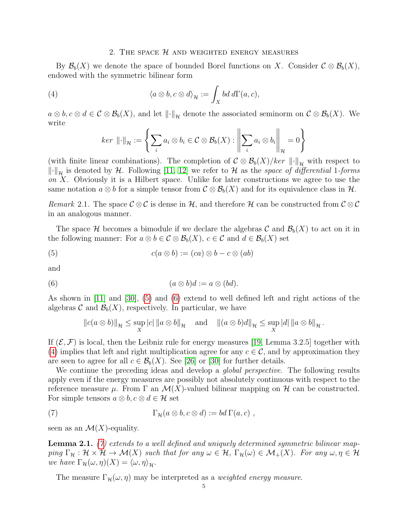### <span id="page-4-3"></span>2. THE SPACE  $H$  and weighted energy measures

<span id="page-4-0"></span>By  $\mathcal{B}_b(X)$  we denote the space of bounded Borel functions on X. Consider  $\mathcal{C} \otimes \mathcal{B}_b(X)$ , endowed with the symmetric bilinear form

(4) 
$$
\langle a \otimes b, c \otimes d \rangle_{\mathcal{H}} := \int_{X} bd \, d\Gamma(a,c),
$$

 $a \otimes b, c \otimes d \in \mathcal{C} \otimes \mathcal{B}_b(X)$ , and let  $\lVert \cdot \rVert_{\mathcal{H}}$  denote the associated seminorm on  $\mathcal{C} \otimes \mathcal{B}_b(X)$ . We write

$$
ker \|\cdot\|_{\mathcal{H}} := \left\{ \sum_{i} a_i \otimes b_i \in \mathcal{C} \otimes \mathcal{B}_b(X) : \left\| \sum_{i} a_i \otimes b_i \right\|_{\mathcal{H}} = 0 \right\}
$$

(with finite linear combinations). The completion of  $\mathcal{C} \otimes \mathcal{B}_b(X)/ker \|\cdot\|_{\mathcal{H}}$  with respect to  $\left\|\cdot\right\|_{\mathcal{H}}$  is denoted by H. Following [\[11,](#page-32-1) [12\]](#page-32-2) we refer to H as the space of differential 1-forms on  $X$ . Obviously it is a Hilbert space. Unlike for later constructions we agree to use the same notation  $a \otimes b$  for a simple tensor from  $\mathcal{C} \otimes \mathcal{B}_b(X)$  and for its equivalence class in  $\mathcal{H}$ .

<span id="page-4-6"></span>Remark 2.1. The space  $\mathcal{C} \otimes \mathcal{C}$  is dense in H, and therefore H can be constructed from  $\mathcal{C} \otimes \mathcal{C}$ in an analogous manner.

The space H becomes a bimodule if we declare the algebras C and  $\mathcal{B}_b(X)$  to act on it in the following manner: For  $a \otimes b \in C \otimes \mathcal{B}_b(X)$ ,  $c \in C$  and  $d \in \mathcal{B}_b(X)$  set

(5) 
$$
c(a \otimes b) := (ca) \otimes b - c \otimes (ab)
$$

and

(6) 
$$
(a \otimes b)d := a \otimes (bd).
$$

As shown in [\[11\]](#page-32-1) and [\[30\]](#page-33-0), [\(5\)](#page-4-1) and [\(6\)](#page-4-2) extend to well defined left and right actions of the algebras C and  $\mathcal{B}_b(X)$ , respectively. In particular, we have

<span id="page-4-2"></span><span id="page-4-1"></span>
$$
||c(a \otimes b)||_{\mathcal{H}} \leq \sup_{X} |c| ||a \otimes b||_{\mathcal{H}} \quad \text{and} \quad ||(a \otimes b)d||_{\mathcal{H}} \leq \sup_{X} |d| ||a \otimes b||_{\mathcal{H}}.
$$

If  $(\mathcal{E}, \mathcal{F})$  is local, then the Leibniz rule for energy measures [\[19,](#page-32-13) Lemma 3.2.5] together with [\(4\)](#page-4-3) implies that left and right multiplication agree for any  $c \in \mathcal{C}$ , and by approximation they are seen to agree for all  $c \in \mathcal{B}_b(X)$ . See [\[26\]](#page-32-20) or [\[30\]](#page-33-0) for further details.

We continue the preceding ideas and develop a *global perspective*. The following results apply even if the energy measures are possibly not absolutely continuous with respect to the reference measure  $\mu$ . From  $\Gamma$  an  $\mathcal{M}(X)$ -valued bilinear mapping on  $\mathcal{H}$  can be constructed. For simple tensors  $a \otimes b, c \otimes d \in \mathcal{H}$  set

<span id="page-4-4"></span>(7) 
$$
\Gamma_{\mathcal{H}}(a\otimes b,c\otimes d):=bd\,\Gamma(a,c)\;,
$$

seen as an  $\mathcal{M}(X)$ -equality.

<span id="page-4-5"></span>**Lemma 2.1.** [\(7\)](#page-4-4) extends to a well defined and uniquely determined symmetric bilinear mapping  $\Gamma_{\mathcal{H}} : \mathcal{H} \times \mathcal{H} \to \mathcal{M}(X)$  such that for any  $\omega \in \mathcal{H}$ ,  $\Gamma_{\mathcal{H}}(\omega) \in \mathcal{M}_+(X)$ . For any  $\omega, \eta \in \mathcal{H}$ we have  $\Gamma_{\mathcal{H}}(\omega, \eta)(X) = \langle \omega, \eta \rangle_{\mathcal{H}}$ .

The measure  $\Gamma_{\mathcal{H}}(\omega, \eta)$  may be interpreted as a *weighted energy measure*.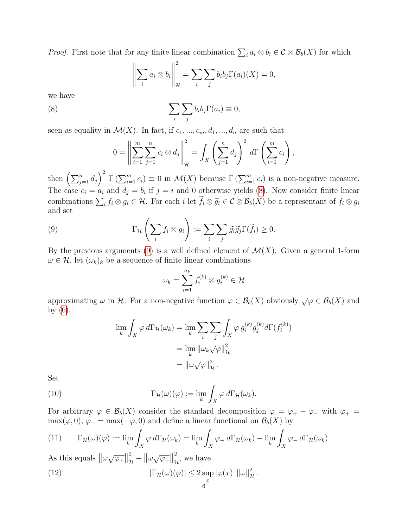*Proof.* First note that for any finite linear combination  $\sum_i a_i \otimes b_i \in C \otimes B_b(X)$  for which

<span id="page-5-0"></span>
$$
\left\| \sum_{i} a_{i} \otimes b_{i} \right\|_{\mathcal{H}}^{2} = \sum_{i} \sum_{j} b_{i} b_{j} \Gamma(a_{i}) (X) = 0,
$$

we have

(8) 
$$
\sum_{i} \sum_{j} b_{i} b_{j} \Gamma(a_{i}) \equiv 0,
$$

seen as equality in  $\mathcal{M}(X)$ . In fact, if  $c_1, ..., c_m, d_1, ..., d_n$  are such that

$$
0 = \left\| \sum_{i=1}^{m} \sum_{j=1}^{n} c_i \otimes d_j \right\|_{\mathcal{H}}^{2} = \int_{X} \left( \sum_{j=1}^{n} d_j \right)^2 d\Gamma \left( \sum_{i=1}^{m} c_i \right),
$$

then  $\left(\sum_{j=1}^n d_j\right)^2 \Gamma\left(\sum_{i=1}^m c_i\right) \equiv 0$  in  $\mathcal{M}(X)$  because  $\Gamma\left(\sum_{i=1}^m c_i\right)$  is a non-negative measure. The case  $c_i = a_i$  and  $d_j = b_i$  if  $j = i$  and 0 otherwise yields [\(8\)](#page-5-0). Now consider finite linear combinations  $\sum_i f_i \otimes g_i \in \mathcal{H}$ . For each i let  $f_i \otimes \tilde{g}_i \in \mathcal{C} \otimes \mathcal{B}_b(X)$  be a representant of  $f_i \otimes g_i$ and set

(9) 
$$
\Gamma_{\mathcal{H}}\left(\sum_{i}f_{i}\otimes g_{i}\right):=\sum_{i}\sum_{j}\widetilde{g}_{i}\widetilde{g}_{j}\Gamma(\widetilde{f}_{i})\geq 0.
$$

By the previous arguments [\(9\)](#page-5-1) is a well defined element of  $\mathcal{M}(X)$ . Given a general 1-form  $\omega \in \mathcal{H}$ , let  $(\omega_k)_k$  be a sequence of finite linear combinations

<span id="page-5-1"></span>
$$
\omega_k = \sum_{i=1}^{n_k} f_i^{(k)} \otimes g_i^{(k)} \in \mathcal{H}
$$

approximating  $\omega$  in H. For a non-negative function  $\varphi \in \mathcal{B}_b(X)$  obviously  $\sqrt{\varphi} \in \mathcal{B}_b(X)$  and by [\(6\)](#page-4-2),

<span id="page-5-4"></span>
$$
\lim_{k} \int_{X} \varphi \, d\Gamma_{\mathcal{H}}(\omega_{k}) = \lim_{k} \sum_{i} \sum_{j} \int_{X} \varphi \, g_{i}^{(k)} g_{j}^{(k)} d\Gamma(f_{i}^{(k)})
$$
\n
$$
= \lim_{k} ||\omega_{k} \sqrt{\varphi}||_{\mathcal{H}}^{2}
$$
\n
$$
= ||\omega \sqrt{\varphi}||_{\mathcal{H}}^{2}.
$$

Set

(10) 
$$
\Gamma_{\mathcal{H}}(\omega)(\varphi) := \lim_{k} \int_X \varphi \, d\Gamma_{\mathcal{H}}(\omega_k).
$$

For arbitrary  $\varphi \in \mathcal{B}_b(X)$  consider the standard decomposition  $\varphi = \varphi_+ - \varphi_-$  with  $\varphi_+ =$ max( $\varphi$ , 0),  $\varphi$  = max( $-\varphi$ , 0) and define a linear functional on  $\mathcal{B}_b(X)$  by

<span id="page-5-2"></span>(11) 
$$
\Gamma_{\mathcal{H}}(\omega)(\varphi) := \lim_{k} \int_X \varphi \, d\Gamma_{\mathcal{H}}(\omega_k) = \lim_{k} \int_X \varphi_+ \, d\Gamma_{\mathcal{H}}(\omega_k) - \lim_{k} \int_X \varphi_- \, d\Gamma_{\mathcal{H}}(\omega_k).
$$

As this equals  $\|\omega \sqrt{\varphi_+}\|$ 2  $\frac{2}{\mu} - ||\omega \sqrt{\varphi_-}||$ 2  $\hat{H}$ , we have

<span id="page-5-3"></span>(12) 
$$
|\Gamma_{\mathcal{H}}(\omega)(\varphi)| \leq 2 \sup_x |\varphi(x)| \, ||\omega||^2_{\mathcal{H}}.
$$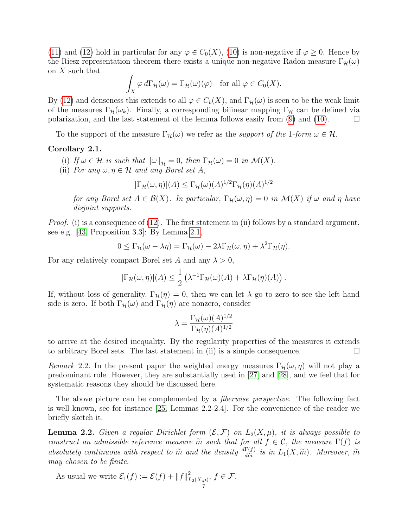[\(11\)](#page-5-2) and [\(12\)](#page-5-3) hold in particular for any  $\varphi \in C_0(X)$ , [\(10\)](#page-5-4) is non-negative if  $\varphi \geq 0$ . Hence by the Riesz representation theorem there exists a unique non-negative Radon measure  $\Gamma_{\mathcal{H}}(\omega)$ on X such that

$$
\int_X \varphi \, d\Gamma_\mathcal{H}(\omega) = \Gamma_\mathcal{H}(\omega)(\varphi) \quad \text{for all } \varphi \in C_0(X).
$$

By [\(12\)](#page-5-3) and denseness this extends to all  $\varphi \in C_b(X)$ , and  $\Gamma_{\mathcal{H}}(\omega)$  is seen to be the weak limit of the measures  $\Gamma_{\mathcal{H}}(\omega_k)$ . Finally, a corresponding bilinear mapping  $\Gamma_{\mathcal{H}}$  can be defined via polarization, and the last statement of the lemma follows easily from [\(9\)](#page-5-1) and [\(10\)](#page-5-4).  $\Box$ 

To the support of the measure  $\Gamma_{\mathcal{H}}(\omega)$  we refer as the *support of the 1-form*  $\omega \in \mathcal{H}$ .

# <span id="page-6-1"></span>Corollary 2.1.

- (i) If  $\omega \in \mathcal{H}$  is such that  $\|\omega\|_{\mathcal{H}} = 0$ , then  $\Gamma_{\mathcal{H}}(\omega) = 0$  in  $\mathcal{M}(X)$ .
- (ii) For any  $\omega, \eta \in \mathcal{H}$  and any Borel set A,

$$
|\Gamma_{\mathcal{H}}(\omega,\eta)|(A) \le \Gamma_{\mathcal{H}}(\omega)(A)^{1/2} \Gamma_{\mathcal{H}}(\eta)(A)^{1/2}
$$

for any Borel set  $A \in \mathcal{B}(X)$ . In particular,  $\Gamma_{\mathcal{H}}(\omega, \eta) = 0$  in  $\mathcal{M}(X)$  if  $\omega$  and  $\eta$  have disjoint supports.

*Proof.* (i) is a consequence of  $(12)$ . The first statement in (ii) follows by a standard argument, see e.g. [\[43,](#page-33-17) Proposition 3.3]: By Lemma [2.1,](#page-4-5)

$$
0 \leq \Gamma_{\mathcal{H}}(\omega - \lambda \eta) = \Gamma_{\mathcal{H}}(\omega) - 2\lambda \Gamma_{\mathcal{H}}(\omega, \eta) + \lambda^2 \Gamma_{\mathcal{H}}(\eta).
$$

For any relatively compact Borel set A and any  $\lambda > 0$ ,

$$
|\Gamma_{\mathcal{H}}(\omega,\eta)|(A) \leq \frac{1}{2} \left( \lambda^{-1} \Gamma_{\mathcal{H}}(\omega)(A) + \lambda \Gamma_{\mathcal{H}}(\eta)(A) \right).
$$

If, without loss of generality,  $\Gamma_{\mathcal{H}}(\eta) = 0$ , then we can let  $\lambda$  go to zero to see the left hand side is zero. If both  $\Gamma_{\mathcal{H}}(\omega)$  and  $\Gamma_{\mathcal{H}}(\eta)$  are nonzero, consider

$$
\lambda = \frac{\Gamma_{\mathcal{H}}(\omega)(A)^{1/2}}{\Gamma_{\mathcal{H}}(\eta)(A)^{1/2}}
$$

to arrive at the desired inequality. By the regularity properties of the measures it extends to arbitrary Borel sets. The last statement in (ii) is a simple consequence.  $\Box$ 

Remark 2.2. In the present paper the weighted energy measures  $\Gamma_{\mathcal{H}}(\omega, \eta)$  will not play a predominant role. However, they are substantially used in [\[27\]](#page-32-12) and [\[28\]](#page-32-11), and we feel that for systematic reasons they should be discussed here.

The above picture can be complemented by a *fiberwise perspective*. The following fact is well known, see for instance [\[25,](#page-32-17) Lemmas 2.2-2.4]. For the convenience of the reader we briefly sketch it.

<span id="page-6-0"></span>**Lemma 2.2.** Given a regular Dirichlet form  $(\mathcal{E}, \mathcal{F})$  on  $L_2(X, \mu)$ , it is always possible to construct an admissible reference measure  $\tilde{m}$  such that for all  $f \in \mathcal{C}$ , the measure  $\Gamma(f)$  is absolutely continuous with respect to  $\tilde{m}$  and the density  $\frac{d\Gamma(f)}{d\tilde{m}}$  is in  $L_1(X, \tilde{m})$ . Moreover,  $\tilde{m}$ <br>may chosen to be finite may chosen to be finite.

As usual we write  $\mathcal{E}_1(f) := \mathcal{E}(f) + ||f||_I^2$  $L_2(X,\mu)$ ,  $f \in \mathcal{F}$ .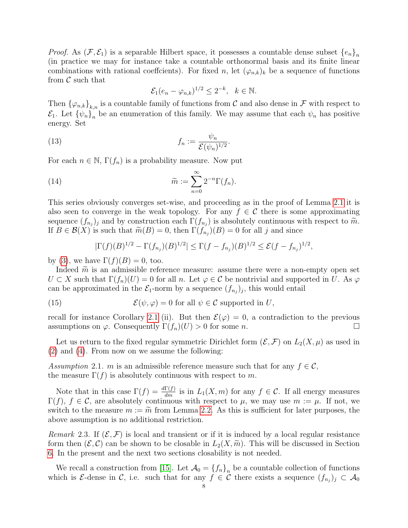*Proof.* As  $(\mathcal{F}, \mathcal{E}_1)$  is a separable Hilbert space, it possesses a countable dense subset  $\{e_n\}_n$ (in practice we may for instance take a countable orthonormal basis and its finite linear combinations with rational coeffcients). For fixed n, let  $(\varphi_{n,k})_k$  be a sequence of functions from  $\mathcal C$  such that

<span id="page-7-2"></span><span id="page-7-1"></span>
$$
\mathcal{E}_1(e_n - \varphi_{n,k})^{1/2} \le 2^{-k}, \quad k \in \mathbb{N}.
$$

Then  $\{\varphi_{n,k}\}_{k,n}$  is a countable family of functions from C and also dense in F with respect to  $\mathcal{E}_1$ . Let  $\{\psi_n\}_n$  be an enumeration of this family. We may assume that each  $\psi_n$  has positive energy. Set

(13) 
$$
f_n := \frac{\psi_n}{\mathcal{E}(\psi_n)^{1/2}}.
$$

For each  $n \in \mathbb{N}$ ,  $\Gamma(f_n)$  is a probability measure. Now put

(14) 
$$
\widetilde{m} := \sum_{n=0}^{\infty} 2^{-n} \Gamma(f_n).
$$

This series obviously converges set-wise, and proceeding as in the proof of Lemma [2.1](#page-4-5) it is also seen to converge in the weak topology. For any  $f \in \mathcal{C}$  there is some approximating sequence  $(f_{n_j})_j$  and by construction each  $\Gamma(f_{n_j})$  is absolutely continuous with respect to  $\widetilde{m}$ .<br>If  $B \in \mathcal{B}(X)$  is such that  $\widetilde{m}(B) = 0$  then  $\Gamma(f_{n_j}(B) = 0$  for all *i* and since If  $B \in \mathcal{B}(X)$  is such that  $\widetilde{m}(B) = 0$ , then  $\Gamma(f_{n_j})(B) = 0$  for all j and since

$$
|\Gamma(f)(B)^{1/2} - \Gamma(f_{n_j})(B)^{1/2}| \le \Gamma(f - f_{n_j})(B)^{1/2} \le \mathcal{E}(f - f_{n_j})^{1/2},
$$

by [\(3\)](#page-3-0), we have  $\Gamma(f)(B) = 0$ , too.

Indeed  $\tilde{m}$  is an admissible reference measure: assume there were a non-empty open set  $U \subset X$  such that  $\Gamma(f_n)(U) = 0$  for all n. Let  $\varphi \in \mathcal{C}$  be nontrivial and supported in U. As  $\varphi$ can be approximated in the  $\mathcal{E}_1$ -norm by a sequence  $(f_{n_j})_j$ , this would entail

(15) 
$$
\mathcal{E}(\psi,\varphi)=0 \text{ for all } \psi \in \mathcal{C} \text{ supported in } U,
$$

recall for instance Corollary [2.1](#page-6-1) (ii). But then  $\mathcal{E}(\varphi) = 0$ , a contradiction to the previous assumptions on  $\varphi$ . Consequently  $\Gamma(f_n)(U) > 0$  for some n.

Let us return to the fixed regular symmetric Dirichlet form  $(\mathcal{E}, \mathcal{F})$  on  $L_2(X, \mu)$  as used in [\(2\)](#page-3-1) and [\(4\)](#page-4-3). From now on we assume the following:

<span id="page-7-0"></span>Assumption 2.1. m is an admissible reference measure such that for any  $f \in \mathcal{C}$ , the measure  $\Gamma(f)$  is absolutely continuous with respect to m.

Note that in this case  $\Gamma(f) = \frac{d\Gamma(f)}{dm}$  is in  $L_1(X, m)$  for any  $f \in \mathcal{C}$ . If all energy measures  $\Gamma(f)$ ,  $f \in \mathcal{C}$ , are absolutely continuous with respect to  $\mu$ , we may use  $m := \mu$ . If not, we switch to the measure  $m := \tilde{m}$  from Lemma [2.2.](#page-6-0) As this is sufficient for later purposes, the above assumption is no additional restriction.

Remark 2.3. If  $(\mathcal{E}, \mathcal{F})$  is local and transient or if it is induced by a local regular resistance form then  $(\mathcal{E}, \mathcal{C})$  can be shown to be closable in  $L_2(X, \widetilde{m})$ . This will be discussed in Section [6.](#page-18-0) In the present and the next two sections closability is not needed.

We recall a construction from [\[15\]](#page-32-3). Let  $\mathcal{A}_0 = \{f_n\}_n$  be a countable collection of functions which is  $\mathcal{E}\text{-dense}$  in  $\mathcal{C}$ , i.e. such that for any  $f \in \mathcal{C}$  there exists a sequence  $(f_{n_j})_j \subset \mathcal{A}_0$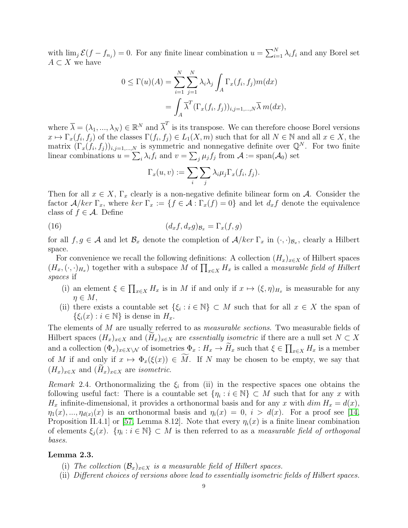with  $\lim_j \mathcal{E}(f - f_{n_j}) = 0$ . For any finite linear combination  $u = \sum_{i=1}^N \lambda_i f_i$  and any Borel set  $A \subset X$  we have

$$
0 \leq \Gamma(u)(A) = \sum_{i=1}^{N} \sum_{j=1}^{N} \lambda_i \lambda_j \int_A \Gamma_x(f_i, f_j) m(dx)
$$
  
= 
$$
\int_A \overline{\lambda}^T (\Gamma_x(f_i, f_j))_{i,j=1,\dots,N} \overline{\lambda} m(dx),
$$

where  $\overline{\lambda} = (\lambda_1, ..., \lambda_N) \in \mathbb{R}^N$  and  $\overline{\lambda}^T$  is its transpose. We can therefore choose Borel versions  $x \mapsto \Gamma_x(f_i, f_j)$  of the classes  $\Gamma(f_i, f_j) \in L_1(X, m)$  such that for all  $N \in \mathbb{N}$  and all  $x \in X$ , the matrix  $(\Gamma_x(f_i, f_j))_{i,j=1,\dots,N}$  is symmetric and nonnegative definite over  $\mathbb{Q}^N$ . For two finite linear combinations  $u = \sum_i \lambda_i f_i$  and  $v = \sum_j \mu_j f_j$  from  $\mathcal{A} := \text{span}(\mathcal{A}_0)$  set

<span id="page-8-2"></span>
$$
\Gamma_x(u,v) := \sum_i \sum_j \lambda_i \mu_j \Gamma_x(f_i, f_j).
$$

Then for all  $x \in X$ ,  $\Gamma_x$  clearly is a non-negative definite bilinear form on A. Consider the factor  $A/ker \Gamma_x$ , where  $ker \Gamma_x := \{f \in A : \Gamma_x(f) = 0\}$  and let  $d_x f$  denote the equivalence class of  $f \in \mathcal{A}$ . Define

(16) 
$$
(d_x f, d_x g)_{\mathcal{B}_x} = \Gamma_x(f, g)
$$

for all  $f, g \in \mathcal{A}$  and let  $\mathcal{B}_x$  denote the completion of  $\mathcal{A}/ker \Gamma_x$  in  $(\cdot, \cdot)_{\mathcal{B}_x}$ , clearly a Hilbert space.

For convenience we recall the following definitions: A collection  $(H_x)_{x\in X}$  of Hilbert spaces  $(H_x, (\cdot, \cdot)_{H_x})$  together with a subspace M of  $\prod_{x \in X} H_x$  is called a measurable field of Hilbert spaces if

- (i) an element  $\xi \in \prod_{x \in X} H_x$  is in M if and only if  $x \mapsto (\xi, \eta)_{H_x}$  is measurable for any  $n \in M$ ,
- (ii) there exists a countable set  $\{\xi_i : i \in \mathbb{N}\}\subset M$  such that for all  $x \in X$  the span of  $\{\xi_i(x) : i \in \mathbb{N}\}\$ is dense in  $H_x$ .

The elements of M are usually referred to as *measurable sections*. Two measurable fields of Hilbert spaces  $(H_x)_{x\in X}$  and  $(H_x)_{x\in X}$  are *essentially isometric* if there are a null set  $N\subset X$ and a collection  $(\Phi_x)_{x\in X\setminus \mathcal{N}}$  of isometries  $\Phi_x: H_x \to H_x$  such that  $\xi \in \prod_{x\in X} H_x$  is a member of M if and only if  $x \mapsto \Phi_x(\xi(x)) \in M$ . If N may be chosen to be empty, we say that  $(H_x)_{x\in X}$  and  $(H_x)_{x\in X}$  are *isometric*.

<span id="page-8-0"></span>Remark 2.4. Orthonormalizing the  $\xi_i$  from (ii) in the respective spaces one obtains the following useful fact: There is a countable set  $\{\eta_i : i \in \mathbb{N}\}\subset M$  such that for any x with  $H_x$  infinite-dimensional, it provides a orthonormal basis and for any x with  $\dim H_x = d(x)$ ,  $\eta_1(x),...,\eta_{d(x)}(x)$  is an orthonormal basis and  $\eta_i(x) = 0, i > d(x)$ . For a proof see [\[14,](#page-32-18) Proposition II.4.1 or [\[57,](#page-33-13) Lemma 8.12]. Note that every  $\eta_i(x)$  is a finite linear combination of elements  $\xi_j(x)$ .  $\{\eta_i : i \in \mathbb{N}\}\subset M$  is then referred to as a *measurable field of orthogonal* bases.

# <span id="page-8-1"></span>Lemma 2.3.

- (i) The collection  $(\mathcal{B}_x)_{x\in X}$  is a measurable field of Hilbert spaces.
- (ii) Different choices of versions above lead to essentially isometric fields of Hilbert spaces.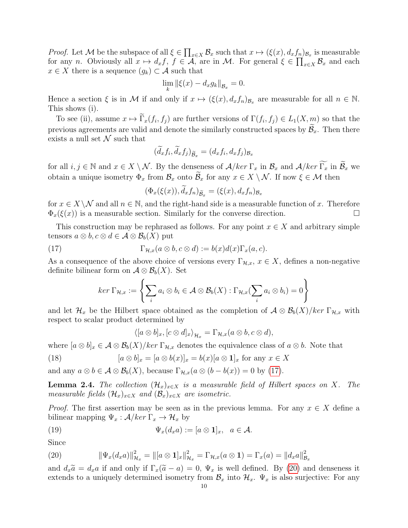*Proof.* Let M be the subspace of all  $\xi \in \prod_{x \in X} \mathcal{B}_x$  such that  $x \mapsto (\xi(x), d_x f_n)_{\mathcal{B}_x}$  is measurable for any *n*. Obviously all  $x \mapsto d_x f$ ,  $f \in \mathcal{A}$ , are in M. For general  $\xi \in \prod_{x \in X} \mathcal{B}_x$  and each  $x \in X$  there is a sequence  $(g_k) \subset \mathcal{A}$  such that

$$
\lim_{k} \|\xi(x) - d_x g_k\|_{\mathcal{B}_x} = 0.
$$

Hence a section  $\xi$  is in M if and only if  $x \mapsto (\xi(x), d_x f_n)_{\mathcal{B}_x}$  are measurable for all  $n \in \mathbb{N}$ . This shows (i).

To see (ii), assume  $x \mapsto \Gamma_x(f_i, f_j)$  are further versions of  $\Gamma(f_i, f_j) \in L_1(X, m)$  so that the previous agreements are valid and denote the similarly constructed spaces by  $\mathcal{B}_x$ . Then there exists a null set  $\mathcal N$  such that

$$
(\tilde{d}_x f_i, \tilde{d}_x f_j)_{\tilde{\mathcal{B}}_x} = (d_x f_i, d_x f_j)_{\mathcal{B}_x}
$$

for all  $i, j \in \mathbb{N}$  and  $x \in X \setminus \mathcal{N}$ . By the denseness of  $\mathcal{A}/\text{ker }\Gamma_x$  in  $\mathcal{B}_x$  and  $\mathcal{A}/\text{ker }\widetilde{\Gamma_x}$  in  $\widetilde{\mathcal{B}}_x$  we obtain a unique isometry  $\Phi_x$  from  $\mathcal{B}_x$  onto  $\widetilde{\mathcal{B}}_x$  for any  $x \in X \setminus \mathcal{N}$ . If now  $\xi \in \mathcal{M}$  then

<span id="page-9-0"></span>
$$
(\Phi_x(\xi(x)), \dot{d}_x f_n)_{\widetilde{\mathcal{B}}_x} = (\xi(x), d_x f_n)_{\mathcal{B}_x}
$$

for  $x \in X \setminus \mathcal{N}$  and all  $n \in \mathbb{N}$ , and the right-hand side is a measurable function of x. Therefore  $\Phi_x(\xi(x))$  is a measurable section. Similarly for the converse direction.

This construction may be rephrased as follows. For any point  $x \in X$  and arbitrary simple tensors  $a \otimes b$ ,  $c \otimes d \in \mathcal{A} \otimes \mathcal{B}_b(X)$  put

(17) 
$$
\Gamma_{\mathcal{H},x}(a\otimes b,c\otimes d):=b(x)d(x)\Gamma_x(a,c).
$$

As a consequence of the above choice of versions every  $\Gamma_{\mathcal{H},x}$ ,  $x \in X$ , defines a non-negative definite bilinear form on  $\mathcal{A} \otimes \mathcal{B}_b(X)$ . Set

$$
ker \Gamma_{\mathcal{H},x} := \left\{ \sum_i a_i \otimes b_i \in \mathcal{A} \otimes \mathcal{B}_b(X) : \Gamma_{\mathcal{H},x}(\sum_i a_i \otimes b_i) = 0 \right\}
$$

and let  $\mathcal{H}_x$  be the Hilbert space obtained as the completion of  $\mathcal{A} \otimes \mathcal{B}_b(X)/\text{ker }\Gamma_{\mathcal{H},x}$  with respect to scalar product determined by

<span id="page-9-4"></span><span id="page-9-2"></span>
$$
\langle [a \otimes b]_x, [c \otimes d]_x \rangle_{\mathcal{H}_x} = \Gamma_{\mathcal{H},x}(a \otimes b, c \otimes d),
$$

where  $[a \otimes b]_x \in A \otimes B_b(X)/ker \Gamma_{\mathcal{H},x}$  denotes the equivalence class of  $a \otimes b$ . Note that

(18) 
$$
[a \otimes b]_x = [a \otimes b(x)]_x = b(x)[a \otimes \mathbf{1}]_x \text{ for any } x \in X
$$

and any  $a \otimes b \in \mathcal{A} \otimes \mathcal{B}_b(X)$ , because  $\Gamma_{\mathcal{H},x}(a \otimes (b - b(x)) = 0$  by [\(17\)](#page-9-0).

<span id="page-9-3"></span>**Lemma 2.4.** The collection  $(\mathcal{H}_x)_{x\in X}$  is a measurable field of Hilbert spaces on X. The measurable fields  $(\mathcal{H}_x)_{x\in X}$  and  $(\mathcal{B}_x)_{x\in X}$  are isometric.

*Proof.* The first assertion may be seen as in the previous lemma. For any  $x \in X$  define a bilinear mapping  $\Psi_x : \mathcal{A}/\text{ker }\Gamma_x \to \mathcal{H}_x$  by

(19) 
$$
\Psi_x(d_x a) := [a \otimes \mathbf{1}]_x, \quad a \in \mathcal{A}.
$$

Since

<span id="page-9-1"></span>(20) 
$$
\|\Psi_x(d_x a)\|_{\mathcal{H}_x}^2 = \| [a \otimes \mathbf{1}]_x \|_{\mathcal{H}_x}^2 = \Gamma_{\mathcal{H},x}(a \otimes \mathbf{1}) = \Gamma_x(a) = \| d_x a \|_{\mathcal{B}_x}^2
$$

and  $d_x\tilde{a} = d_x a$  if and only if  $\Gamma_x(\tilde{a} - a) = 0$ ,  $\Psi_x$  is well defined. By [\(20\)](#page-9-1) and denseness it extends to a uniquely determined isometry from  $\mathcal{B}_x$  into  $\mathcal{H}_x$ .  $\Psi_x$  is also surjective: For any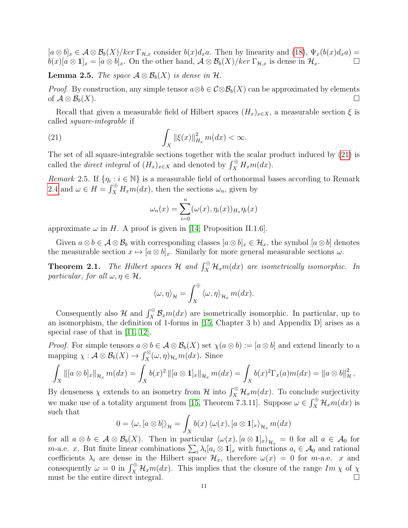$[a \otimes b]_x \in A \otimes B_b(X)/ker \Gamma_{\mathcal{H},x}$  consider  $b(x)d_xa$ . Then by linearity and [\(18\)](#page-9-2),  $\Psi_x(b(x)d_xa) =$  $b(x)[a \otimes 1]_x = [a \otimes b]_x$ . On the other hand,  $A \otimes B_b(X)/ker \Gamma_{\mathcal{H},x}$  is dense in  $\mathcal{H}_x$ .

**Lemma 2.5.** The space  $A \otimes B_b(X)$  is dense in H.

*Proof.* By construction, any simple tensor  $a \otimes b \in C \otimes \mathcal{B}_b(X)$  can be approximated by elements of  $A \otimes B_b(X)$ .

Recall that given a measurable field of Hilbert spaces  $(H_x)_{x\in X}$ , a measurable section  $\xi$  is called square-integrable if

(21) 
$$
\int_X \|\xi(x)\|_{H_x}^2 m(dx) < \infty.
$$

The set of all square-integrable sections together with the scalar product induced by [\(21\)](#page-10-0) is called the *direct integral* of  $(H_x)_{x \in X}$  and denoted by  $\int_X^{\oplus} H_x m(dx)$ .

Remark 2.5. If  $\{\eta_i : i \in \mathbb{N}\}\$ is a measurable field of orthonormal bases according to Remark [2.4](#page-8-0) and  $\omega \in H = \int_X^{\oplus} H_x m(dx)$ , then the sections  $\omega_n$ , given by

<span id="page-10-0"></span>
$$
\omega_n(x) = \sum_{i=0}^n (\omega(x), \eta_i(x))_{H_x} \eta_i(x)
$$

approximate  $\omega$  in H. A proof is given in [\[14,](#page-32-18) Proposition II.1.6].

Given  $a \otimes b \in A \otimes B_b$  with corresponding classes  $[a \otimes b]_x \in \mathcal{H}_x$ , the symbol  $[a \otimes b]$  denotes the measurable section  $x \mapsto [a \otimes b]_x$ . Similarly for more general measurable sections  $\omega$ .

<span id="page-10-1"></span>**Theorem 2.1.** The Hilbert spaces  $\mathcal{H}$  and  $\int_X^{\oplus} \mathcal{H}_x m(dx)$  are isometrically isomorphic. In particular, for all  $\omega, \eta \in \mathcal{H}$ ,

$$
\langle \omega, \eta \rangle_{\mathcal{H}} = \int_X^{\oplus} \langle \omega, \eta \rangle_{\mathcal{H}_x} m(dx).
$$

Consequently also  $\mathcal{H}$  and  $\int_X^{\oplus} \mathcal{B}_x m(dx)$  are isometrically isomorphic. In particular, up to an isomorphism, the definition of 1-forms in [\[15,](#page-32-3) Chapter 3 b) and Appendix D] arises as a special case of that in [\[11,](#page-32-1) [12\]](#page-32-2).

*Proof.* For simple tensors  $a \otimes b \in A \otimes B_b(X)$  set  $\chi(a \otimes b) := [a \otimes b]$  and extend linearly to a mapping  $\chi: \mathcal{A} \otimes \mathcal{B}_b(X) \to \int_X^\otimes (\omega, \eta)_{\mathcal{H}_x} m(dx)$ . Since

$$
\int_X ||[a \otimes b]_x||_{\mathcal{H}_x} m(dx) = \int_X b(x)^2 ||[a \otimes 1]_x||_{\mathcal{H}_x} m(dx) = \int_X b(x)^2 \Gamma_x(a) m(dx) = ||a \otimes b||^2_{\mathcal{H}},
$$

By denseness  $\chi$  extends to an isometry from H into  $\int_X^{\otimes} \mathcal{H}_x m(dx)$ . To conclude surjectivity we make use of a totality argument from [\[15,](#page-32-3) Theorem 7.3.11]. Suppose  $\omega \in \int_X^{\oplus} \mathcal{H}_x m(dx)$  is such that

$$
0 = \langle \omega, [a \otimes b] \rangle_{\mathcal{H}} = \int_{X} b(x) \langle \omega(x), [a \otimes \mathbf{1}]_{x} \rangle_{\mathcal{H}_{x}} m(dx)
$$

for all  $a \otimes b \in \mathcal{A} \otimes \mathcal{B}_b(X)$ . Then in particular  $\langle \omega(x), [a \otimes 1]_x \rangle_{\mathcal{H}_x} = 0$  for all  $a \in \mathcal{A}_0$  for *m*-a.e. x. But finite linear combinations  $\sum_i \lambda_i [a_i \otimes 1]_x$  with functions  $a_i \in \mathcal{A}_0$  and rational coefficients  $\lambda_i$  are dense in the Hilbert space  $\mathcal{H}_x$ , therefore  $\omega(x) = 0$  for m-a.e. x and consequently  $\omega = 0$  in  $\int_X^{\oplus} \mathcal{H}_x m(dx)$ . This implies that the closure of the range  $Im \chi$  of  $\chi$ must be the entire direct integral.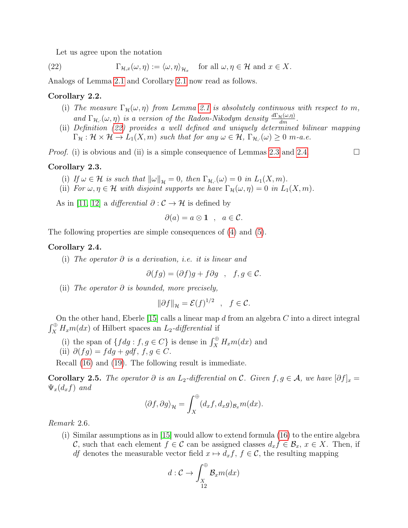<span id="page-11-0"></span>Let us agree upon the notation

(22)  $\Gamma_{\mathcal{H},x}(\omega,\eta) := \langle \omega, \eta \rangle_{\mathcal{H}_x} \text{ for all } \omega, \eta \in \mathcal{H} \text{ and } x \in X.$ 

Analogs of Lemma [2.1](#page-4-5) and Corollary [2.1](#page-6-1) now read as follows.

# Corollary 2.2.

- (i) The measure  $\Gamma_{\mathcal{H}}(\omega, \eta)$  from Lemma [2.1](#page-4-5) is absolutely continuous with respect to m, and  $\Gamma_{\mathcal{H},\cdot}(\omega,\eta)$  is a version of the Radon-Nikodym density  $\frac{d\Gamma_{\mathcal{H}}(\omega,\eta)}{dm}$ .
- (ii) Definition [\(22\)](#page-11-0) provides a well defined and uniquely determined bilinear mapping  $\Gamma_{\mathcal{H}} : \mathcal{H} \times \mathcal{H} \to L_1(X,m)$  such that for any  $\omega \in \mathcal{H}$ ,  $\Gamma_{\mathcal{H},\cdot}(\omega) \geq 0$  m-a.e.

*Proof.* (i) is obvious and (ii) is a simple consequence of Lemmas [2.3](#page-8-1) and [2.4.](#page-9-3)

# Corollary 2.3.

- (i) If  $\omega \in \mathcal{H}$  is such that  $\|\omega\|_{\mathcal{H}} = 0$ , then  $\Gamma_{\mathcal{H},\cdot}(\omega) = 0$  in  $L_1(X,m)$ .
- (ii) For  $\omega, \eta \in \mathcal{H}$  with disjoint supports we have  $\Gamma_{\mathcal{H}}(\omega, \eta) = 0$  in  $L_1(X, m)$ .

As in [\[11,](#page-32-1) [12\]](#page-32-2) a *differential*  $\partial : \mathcal{C} \to \mathcal{H}$  is defined by

$$
\partial(a) = a \otimes \mathbf{1} \quad , \quad a \in \mathcal{C}.
$$

The following properties are simple consequences of [\(4\)](#page-4-3) and [\(5\)](#page-4-1).

# <span id="page-11-1"></span>Corollary 2.4.

(i) The operator  $\partial$  is a derivation, i.e. it is linear and

$$
\partial(fg) = (\partial f)g + f\partial g \quad , \quad f, g \in \mathcal{C}.
$$

(ii) The operator  $\partial$  is bounded, more precisely,

$$
\|\partial f\|_{\mathcal{H}} = \mathcal{E}(f)^{1/2} \quad , \quad f \in \mathcal{C}.
$$

On the other hand, Eberle  $[15]$  calls a linear map d from an algebra C into a direct integral  $\int_X^{\oplus} H_x m(dx)$  of Hilbert spaces an  $L_2$ -differential if

- (i) the span of  $\{fdg : f, g \in C\}$  is dense in  $\int_X^{\oplus} H_x m(dx)$  and
- (ii)  $\partial(fg) = f dg + g df, f, g \in C$ .

Recall [\(16\)](#page-8-2) and [\(19\)](#page-9-4). The following result is immediate.

Corollary 2.5. The operator  $\partial$  is an  $L_2$ -differential on C. Given  $f, g \in A$ , we have  $[\partial f]_x =$  $\Psi_x(d_xf)$  and

$$
\langle \partial f, \partial g \rangle_{\mathcal{H}} = \int_X^{\oplus} (d_x f, d_x g)_{\mathcal{B}_x} m(dx).
$$

# Remark 2.6.

(i) Similar assumptions as in [\[15\]](#page-32-3) would allow to extend formula [\(16\)](#page-8-2) to the entire algebra C, such that each element  $f \in \mathcal{C}$  can be assigned classes  $d_x f \in \mathcal{B}_x, x \in X$ . Then, if df denotes the measurable vector field  $x \mapsto d_x f$ ,  $f \in \mathcal{C}$ , the resulting mapping

$$
d:\mathcal{C}\rightarrow \int_{\begin{subarray}{c}X\\12\end{subarray}}^{\oplus}\mathcal{B}_{x}m(dx)
$$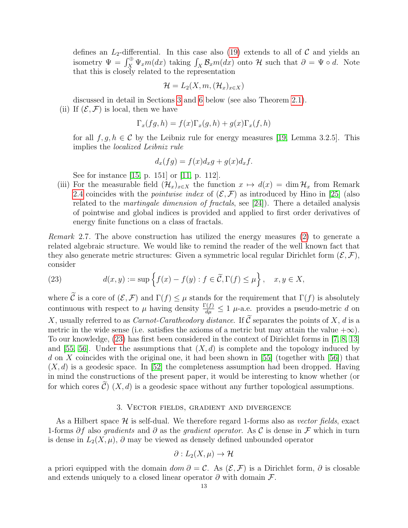defines an  $L_2$ -differential. In this case also [\(19\)](#page-9-4) extends to all of  $\mathcal C$  and yields an isometry  $\Psi = \int_X^{\oplus} \Psi_x m(dx)$  taking  $\int_X \mathcal{B}_x m(dx)$  onto H such that  $\partial = \Psi \circ d$ . Note that this is closely related to the representation

$$
\mathcal{H} = L_2(X, m, (\mathcal{H}_x)_{x \in X})
$$

discussed in detail in Sections [3](#page-12-0) and [6](#page-18-0) below (see also Theorem [2.1\)](#page-10-1). (ii) If  $(\mathcal{E}, \mathcal{F})$  is local, then we have

$$
\Gamma_x(fg,h) = f(x)\Gamma_x(g,h) + g(x)\Gamma_x(f,h)
$$

for all  $f, g, h \in \mathcal{C}$  by the Leibniz rule for energy measures [\[19,](#page-32-13) Lemma 3.2.5]. This implies the localized Leibniz rule

$$
d_x(fg) = f(x)d_xg + g(x)d_xf.
$$

See for instance [\[15,](#page-32-3) p. 151] or [\[11,](#page-32-1) p. 112].

(iii) For the measurable field  $(\mathcal{H}_x)_{x\in X}$  the function  $x \mapsto d(x) = \dim \mathcal{H}_x$  from Remark [2.4](#page-8-0) coincides with the *pointwise index* of  $(\mathcal{E}, \mathcal{F})$  as introduced by Hino in [\[25\]](#page-32-17) (also related to the martingale dimension of fractals, see [\[24\]](#page-32-21)). There a detailed analysis of pointwise and global indices is provided and applied to first order derivatives of energy finite functions on a class of fractals.

Remark 2.7. The above construction has utilized the energy measures [\(2\)](#page-3-1) to generate a related algebraic structure. We would like to remind the reader of the well known fact that they also generate metric structures: Given a symmetric local regular Dirichlet form  $(\mathcal{E}, \mathcal{F}),$ consider

<span id="page-12-1"></span>(23) 
$$
d(x,y) := \sup \left\{ f(x) - f(y) : f \in \widetilde{\mathcal{C}}, \Gamma(f) \le \mu \right\}, \quad x, y \in X,
$$

where  $\tilde{\mathcal{C}}$  is a core of  $(\mathcal{E}, \mathcal{F})$  and  $\Gamma(f) \leq \mu$  stands for the requirement that  $\Gamma(f)$  is absolutely continuous with respect to  $\mu$  having density  $\frac{\Gamma(f)}{d\mu} \leq 1$   $\mu$ -a.e. provides a pseudo-metric d on X, usually referred to as *Carnot-Caratheodory distance*. If  $\tilde{C}$  separates the points of X, d is a metric in the wide sense (i.e. satisfies the axioms of a metric but may attain the value  $+\infty$ ). To our knowledge, [\(23\)](#page-12-1) has first been considered in the context of Dirichlet forms in [\[7,](#page-32-22) [8,](#page-32-23) [13\]](#page-32-24) and [\[55,](#page-33-18) [56\]](#page-33-19). Under the assumptions that  $(X, d)$  is complete and the topology induced by d on X coincides with the original one, it had been shown in [\[55\]](#page-33-18) (together with [\[56\]](#page-33-19)) that  $(X, d)$  is a geodesic space. In [\[52\]](#page-33-20) the completeness assumption had been dropped. Having in mind the constructions of the present paper, it would be interesting to know whether (or for which cores  $\widehat{\mathcal{C}}$  (X, d) is a geodesic space without any further topological assumptions.

# 3. Vector fields, gradient and divergence

<span id="page-12-0"></span>As a Hilbert space  $\mathcal H$  is self-dual. We therefore regard 1-forms also as vector fields, exact 1-forms  $\partial f$  also gradients and  $\partial$  as the gradient operator. As C is dense in F which in turn is dense in  $L_2(X,\mu)$ ,  $\partial$  may be viewed as densely defined unbounded operator

$$
\partial: L_2(X,\mu) \to \mathcal{H}
$$

a priori equipped with the domain  $dom \partial = C$ . As  $(\mathcal{E}, \mathcal{F})$  is a Dirichlet form,  $\partial$  is closable and extends uniquely to a closed linear operator  $\partial$  with domain  $\mathcal{F}$ .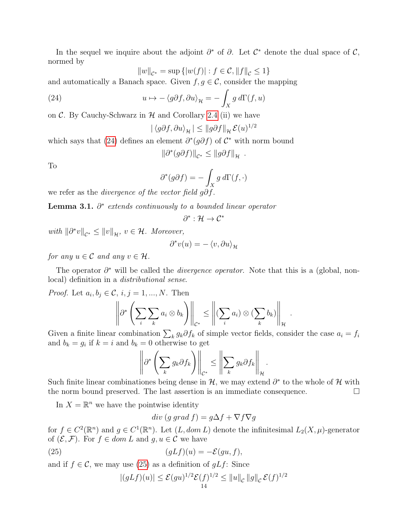In the sequel we inquire about the adjoint  $\partial^*$  of  $\partial$ . Let  $\mathcal{C}^*$  denote the dual space of  $\mathcal{C}$ , normed by

<span id="page-13-0"></span>
$$
||w||_{\mathcal{C}^*} = \sup \left\{ |w(f)| : f \in \mathcal{C}, ||f||_{\mathcal{C}} \leq 1 \right\}
$$

and automatically a Banach space. Given  $f, g \in \mathcal{C}$ , consider the mapping

(24) 
$$
u \mapsto -\langle g \partial f, \partial u \rangle_{\mathcal{H}} = -\int_{X} g \, d\Gamma(f, u)
$$

on  $\mathcal{C}$ . By Cauchy-Schwarz in  $\mathcal{H}$  and Corollary [2.4](#page-11-1) (ii) we have

$$
|\langle g\partial f, \partial u \rangle_{\mathcal{H}}| \le ||g\partial f||_{\mathcal{H}} \mathcal{E}(u)^{1/2}
$$

which says that [\(24\)](#page-13-0) defines an element  $\partial^*(g\partial f)$  of  $\mathcal{C}^*$  with norm bound

$$
\|\partial^*(g\partial f)\|_{\mathcal{C}^*}\leq \|g\partial f\|_{\mathcal{H}}.
$$

To

$$
\partial^*(g\partial f) = -\int_X g \, d\Gamma(f, \cdot)
$$

we refer as the *divergence of the vector field g* $\partial f$ *.* 

**Lemma 3.1.**  $\partial^*$  extends continuously to a bounded linear operator

$$
\partial^*:\mathcal{H}\to\mathcal{C}^*
$$

*with*  $\|\partial^* v\|_{\mathcal{C}^*} \leq \|v\|_{\mathcal{H}}$ ,  $v \in \mathcal{H}$ . Moreover,

$$
\partial^* v(u) = -\left\langle v, \partial u \right\rangle_{\mathcal{H}}
$$

for any  $u \in \mathcal{C}$  and any  $v \in \mathcal{H}$ .

The operator  $\partial^*$  will be called the *divergence operator*. Note that this is a (global, nonlocal) definition in a distributional sense.

*Proof.* Let  $a_i, b_j \in \mathcal{C}, i, j = 1, ..., N$ . Then

$$
\left\|\partial^*\left(\sum_i\sum_k a_i\otimes b_k\right)\right\|_{\mathcal{C}^*}\leq \left\|(\sum_i a_i)\otimes(\sum_k b_k)\right\|_{\mathcal{H}}
$$

.

Given a finite linear combination  $\sum_k g_k \partial f_k$  of simple vector fields, consider the case  $a_i = f_i$ and  $b_k = g_i$  if  $k = i$  and  $b_k = 0$  otherwise to get

$$
\left\|\partial^*\left(\sum_k g_k \partial f_k\right)\right\|_{\mathcal{C}^*} \leq \left\|\sum_k g_k \partial f_k\right\|_{\mathcal{H}}.
$$

Such finite linear combinationes being dense in  $\mathcal{H}$ , we may extend  $\partial^*$  to the whole of  $\mathcal{H}$  with the norm bound preserved. The last assertion is an immediate consequence.

In  $X = \mathbb{R}^n$  we have the pointwise identity

<span id="page-13-1"></span>
$$
div (g\ grad\ f) = g\Delta f + \nabla f \nabla g
$$

for  $f \in C^2(\mathbb{R}^n)$  and  $g \in C^1(\mathbb{R}^n)$ . Let  $(L, dom L)$  denote the infinitesimal  $L_2(X, \mu)$ -generator of  $(\mathcal{E}, \mathcal{F})$ . For  $f \in dom L$  and  $q, u \in \mathcal{C}$  we have

(25) 
$$
(gLf)(u) = -\mathcal{E}(gu, f),
$$

and if  $f \in \mathcal{C}$ , we may use [\(25\)](#page-13-1) as a definition of  $gLf$ : Since

$$
|(gLf)(u)| \leq \mathcal{E}(gu)^{1/2}\mathcal{E}(f)^{1/2} \leq ||u||_{\mathcal{C}} ||g||_{\mathcal{C}} \mathcal{E}(f)^{1/2}
$$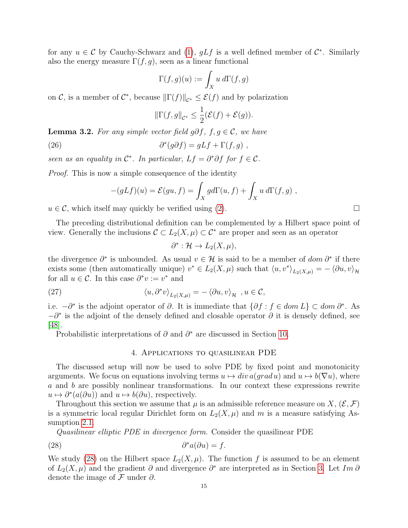for any  $u \in \mathcal{C}$  by Cauchy-Schwarz and [\(1\)](#page-3-2),  $gLf$  is a well defined member of  $\mathcal{C}^*$ . Similarly also the energy measure  $\Gamma(f,g)$ , seen as a linear functional

$$
\Gamma(f,g)(u) := \int_X u \, d\Gamma(f,g)
$$

on C, is a member of  $C^*$ , because  $\|\Gamma(f)\|_{C^*} \leq \mathcal{E}(f)$  and by polarization

$$
\|\Gamma(f,g\|_{\mathcal{C}^*}\leq \frac{1}{2}(\mathcal{E}(f)+\mathcal{E}(g)).
$$

**Lemma 3.2.** For any simple vector field g∂f,  $f, g \in \mathcal{C}$ , we have

(26) 
$$
\partial^*(g\partial f) = gLf + \Gamma(f,g) ,
$$

seen as an equality in  $\mathcal{C}^*$ . In particular,  $Lf = \partial^* \partial f$  for  $f \in \mathcal{C}$ .

Proof. This is now a simple consequence of the identity

$$
-(gLf)(u) = \mathcal{E}(gu, f) = \int_X g d\Gamma(u, f) + \int_X u d\Gamma(f, g) ,
$$

 $u \in \mathcal{C}$ , which itself may quickly be verified using [\(2\)](#page-3-1).

The preceding distributional definition can be complemented by a Hilbert space point of view. Generally the inclusions  $\mathcal{C} \subset L_2(X,\mu) \subset \mathcal{C}^*$  are proper and seen as an operator

<span id="page-14-2"></span>
$$
\partial^* : \mathcal{H} \to L_2(X, \mu),
$$

the divergence  $\partial^*$  is unbounded. As usual  $v \in \mathcal{H}$  is said to be a member of  $dom \partial^*$  if there exists some (then automatically unique)  $v^* \in L_2(X, \mu)$  such that  $\langle u, v^* \rangle_{L_2(X, \mu)} = - \langle \partial u, v \rangle_{\mathcal{H}}$ for all  $u \in \mathcal{C}$ . In this case  $\partial^* v := v^*$  and

(27) 
$$
\langle u, \partial^* v \rangle_{L_2(X,\mu)} = - \langle \partial u, v \rangle_{\mathcal{H}}, u \in \mathcal{C},
$$

i.e.  $-\partial^*$  is the adjoint operator of  $\partial$ . It is immediate that  $\{\partial f: f \in dom L\} \subset dom \partial^*$ . As  $-\partial^*$  is the adjoint of the densely defined and closable operator  $\partial$  it is densely defined, see [\[48\]](#page-33-21).

Probabilistic interpretations of  $\partial$  and  $\partial^*$  are discussed in Section [10.](#page-28-0)

### <span id="page-14-1"></span>4. Applications to quasilinear PDE

<span id="page-14-0"></span>The discussed setup will now be used to solve PDE by fixed point and monotonicity arguments. We focus on equations involving terms  $u \mapsto div \, a(q \, rad \, u)$  and  $u \mapsto b(\nabla u)$ , where a and b are possibly nonlinear transformations. In our context these expressions rewrite  $u \mapsto \partial^*(a(\partial u))$  and  $u \mapsto b(\partial u)$ , respectively.

Throughout this section we assume that  $\mu$  is an admissible reference measure on X,  $(\mathcal{E}, \mathcal{F})$ is a symmetric local regular Dirichlet form on  $L_2(X,\mu)$  and m is a measure satisfying Assumption [2.1.](#page-7-0)

Quasilinear elliptic PDE in divergence form. Consider the quasilinear PDE

(28) 
$$
\partial^* a(\partial u) = f.
$$

We study [\(28\)](#page-14-1) on the Hilbert space  $L_2(X,\mu)$ . The function f is assumed to be an element of  $L_2(X, \mu)$  and the gradient  $\partial$  and divergence  $\partial^*$  are interpreted as in Section [3.](#page-12-0) Let Im  $\partial$ denote the image of  $\mathcal F$  under  $\partial$ .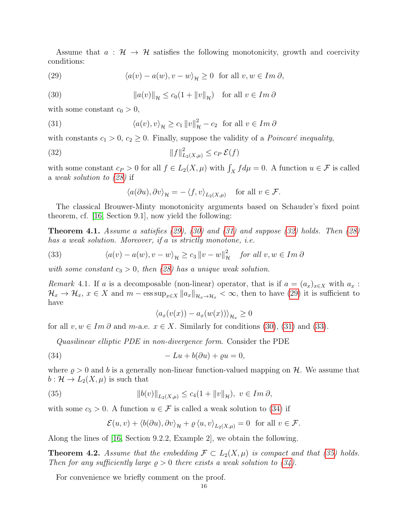Assume that  $a : \mathcal{H} \to \mathcal{H}$  satisfies the following monotonicity, growth and coercivity conditions:

<span id="page-15-0"></span>(29) 
$$
\langle a(v) - a(w), v - w \rangle_{\mathcal{H}} \ge 0 \text{ for all } v, w \in Im \, \partial,
$$

<span id="page-15-1"></span>(30) 
$$
\|a(v)\|_{\mathcal{H}} \le c_0(1 + \|v\|_{\mathcal{H}}) \text{ for all } v \in Im \ \partial
$$

with some constant  $c_0 > 0$ ,

(31) 
$$
\langle a(v), v \rangle_{\mathcal{H}} \ge c_1 \|v\|_{\mathcal{H}}^2 - c_2 \text{ for all } v \in Im \ \partial
$$

with constants  $c_1 > 0$ ,  $c_2 \geq 0$ . Finally, suppose the validity of a *Poincaré inequality*,

$$
||f||_{L_2(X,\mu)}^2 \le c_P \,\mathcal{E}(f)
$$

with some constant  $c_P > 0$  for all  $f \in L_2(X, \mu)$  with  $\int_X f d\mu = 0$ . A function  $u \in \mathcal{F}$  is called a weak solution to [\(28\)](#page-14-1) if

<span id="page-15-3"></span><span id="page-15-2"></span>
$$
\langle a(\partial u), \partial v \rangle_{\mathcal{H}} = -\langle f, v \rangle_{L_2(X, \mu)} \quad \text{for all } v \in \mathcal{F}.
$$

The classical Brouwer-Minty monotonicity arguments based on Schauder's fixed point theorem, cf. [\[16,](#page-32-8) Section 9.1], now yield the following:

**Theorem 4.1.** Assume a satisfies  $(29)$ ,  $(30)$  and  $(31)$  and suppose  $(32)$  holds. Then  $(28)$ has a weak solution. Moreover, if a is strictly monotone, i.e.

<span id="page-15-4"></span>(33) 
$$
\langle a(v) - a(w), v - w \rangle_{\mathcal{H}} \ge c_3 \|v - w\|_{\mathcal{H}}^2 \quad \text{for all } v, w \in \text{Im } \partial
$$

with some constant  $c_3 > 0$ , then [\(28\)](#page-14-1) has a unique weak solution.

Remark 4.1. If a is a decomposable (non-linear) operator, that is if  $a = (a_x)_{x \in X}$  with  $a_x$ :  $\mathcal{H}_x \to \mathcal{H}_x, x \in X$  and  $m - \text{ess sup}_{x \in X} ||a_x||_{\mathcal{H}_x \to \mathcal{H}_x} < \infty$ , then to have [\(29\)](#page-15-0) it is sufficient to have

<span id="page-15-5"></span>
$$
\langle a_x(v(x)) - a_x(w(x)) \rangle_{\mathcal{H}_x} \ge 0
$$

for all  $v, w \in Im \, \partial$  and  $m$ -a.e.  $x \in X$ . Similarly for conditions [\(30\)](#page-15-1), [\(31\)](#page-15-2) and [\(33\)](#page-15-4).

Quasilinear elliptic PDE in non-divergence form. Consider the PDE

$$
(34) \qquad \qquad -Lu + b(\partial u) + \varrho u = 0,
$$

where  $\rho > 0$  and b is a generally non-linear function-valued mapping on H. We assume that  $b: \mathcal{H} \to L_2(X, \mu)$  is such that

(35) 
$$
||b(v)||_{L_2(X,\mu)} \le c_4(1+||v||_{\mathcal{H}}), v \in Im \, \partial,
$$

with some  $c_5 > 0$ . A function  $u \in \mathcal{F}$  is called a weak solution to [\(34\)](#page-15-5) if

<span id="page-15-6"></span>
$$
\mathcal{E}(u, v) + \langle b(\partial u), \partial v \rangle_{\mathcal{H}} + \varrho \langle u, v \rangle_{L_2(X, \mu)} = 0 \text{ for all } v \in \mathcal{F}.
$$

Along the lines of [\[16,](#page-32-8) Section 9.2.2, Example 2], we obtain the following.

**Theorem 4.2.** Assume that the embedding  $\mathcal{F} \subset L_2(X,\mu)$  is compact and that [\(35\)](#page-15-6) holds. Then for any sufficiently large  $\rho > 0$  there exists a weak solution to [\(34\)](#page-15-5).

For convenience we briefly comment on the proof.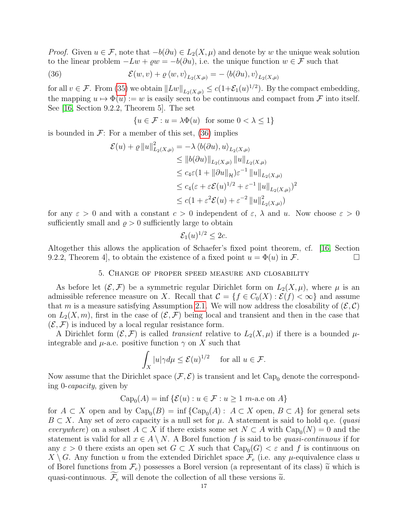*Proof.* Given  $u \in \mathcal{F}$ , note that  $-b(\partial u) \in L_2(X, \mu)$  and denote by w the unique weak solution to the linear problem  $-Lw + \varrho w = -b(\partial u)$ , i.e. the unique function  $w \in \mathcal{F}$  such that

(36) 
$$
\mathcal{E}(w,v) + \varrho \langle w,v \rangle_{L_2(X,\mu)} = -\langle b(\partial u),v \rangle_{L_2(X,\mu)}
$$

for all  $v \in \mathcal{F}$ . From [\(35\)](#page-15-6) we obtain  $||Lw||_{L_2(X,\mu)} \leq c(1+\mathcal{E}_1(u)^{1/2})$ . By the compact embedding, the mapping  $u \mapsto \Phi(u) := w$  is easily seen to be continuous and compact from F into itself. See [\[16,](#page-32-8) Section 9.2.2, Theorem 5]. The set

<span id="page-16-1"></span>
$$
\{u \in \mathcal{F} : u = \lambda \Phi(u) \text{ for some } 0 < \lambda \le 1\}
$$

is bounded in  $\mathcal{F}$ : For a member of this set, [\(36\)](#page-16-1) implies

$$
\mathcal{E}(u) + \varrho \|u\|_{L_2(X,\mu)}^2 = -\lambda \langle b(\partial u), u \rangle_{L_2(X,\mu)} \n\le \|b(\partial u)\|_{L_2(X,\mu)} \|u\|_{L_2(X,\mu)} \n\le c_4 \varepsilon (1 + \|\partial u\|_{\mathcal{H}}) \varepsilon^{-1} \|u\|_{L_2(X,\mu)} \n\le c_4 (\varepsilon + \varepsilon \mathcal{E}(u)^{1/2} + \varepsilon^{-1} \|u\|_{L_2(X,\mu)})^2 \n\le c (1 + \varepsilon^2 \mathcal{E}(u) + \varepsilon^{-2} \|u\|_{L_2(X,\mu)}^2)
$$

for any  $\varepsilon > 0$  and with a constant  $c > 0$  independent of  $\varepsilon$ ,  $\lambda$  and u. Now choose  $\varepsilon > 0$ sufficiently small and  $\rho > 0$  sufficiently large to obtain

$$
\mathcal{E}_1(u)^{1/2} \leq 2c.
$$

Altogether this allows the application of Schaefer's fixed point theorem, cf. [\[16,](#page-32-8) Section 9.2.2, Theorem 4, to obtain the existence of a fixed point  $u = \Phi(u)$  in F.

# 5. Change of proper speed measure and closability

<span id="page-16-0"></span>As before let  $(\mathcal{E}, \mathcal{F})$  be a symmetric regular Dirichlet form on  $L_2(X, \mu)$ , where  $\mu$  is an admissible reference measure on X. Recall that  $\mathcal{C} = \{f \in C_0(X) : \mathcal{E}(f) < \infty\}$  and assume that m is a measure satisfying Assumption [2.1.](#page-7-0) We will now address the closability of  $(\mathcal{E}, \mathcal{C})$ on  $L_2(X, m)$ , first in the case of  $(\mathcal{E}, \mathcal{F})$  being local and transient and then in the case that  $(\mathcal{E}, \mathcal{F})$  is induced by a local regular resistance form.

A Dirichlet form  $(\mathcal{E}, \mathcal{F})$  is called *transient* relative to  $L_2(X, \mu)$  if there is a bounded  $\mu$ integrable and  $\mu$ -a.e. positive function  $\gamma$  on X such that

$$
\int_X |u| \gamma d\mu \le \mathcal{E}(u)^{1/2} \quad \text{ for all } u \in \mathcal{F}.
$$

Now assume that the Dirichlet space  $(\mathcal{F}, \mathcal{E})$  is transient and let Cap<sub>0</sub> denote the corresponding 0-capacity, given by

$$
Cap_0(A) = \inf \{ \mathcal{E}(u) : u \in \mathcal{F} : u \ge 1 \text{ m-a.e on } A \}
$$

for  $A \subset X$  open and by  $\text{Cap}_0(B) = \inf \{ \text{Cap}_0(A) : A \subset X \text{ open}, B \subset A \}$  for general sets  $B \subset X$ . Any set of zero capacity is a null set for  $\mu$ . A statement is said to hold q.e. (quasi everywhere) on a subset  $A \subset X$  if there exists some set  $N \subset A$  with  $\text{Cap}_0(N) = 0$  and the statement is valid for all  $x \in A \setminus N$ . A Borel function f is said to be quasi-continuous if for any  $\varepsilon > 0$  there exists an open set  $G \subset X$  such that  $Cap_0(G) < \varepsilon$  and f is continuous on  $X \setminus G$ . Any function u from the extended Dirichlet space  $\mathcal{F}_e$  (i.e. any  $\mu$ -equivalence class u of Borel functions from  $\mathcal{F}_e$ ) possesses a Borel version (a representant of its class)  $\tilde{u}$  which is quasi-continuous.  $\widetilde{\mathcal{F}}_e$  will denote the collection of all these versions  $\widetilde{u}$ .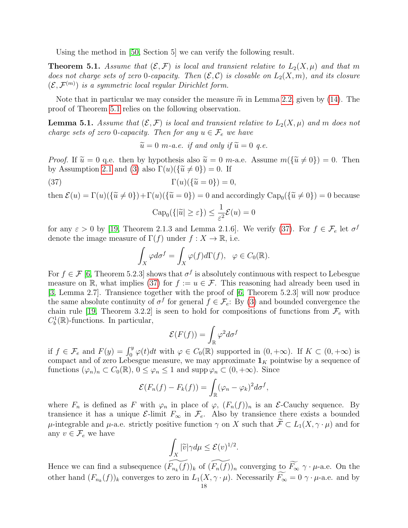Using the method in [\[50,](#page-33-14) Section 5] we can verify the following result.

<span id="page-17-0"></span>**Theorem 5.1.** Assume that  $(\mathcal{E}, \mathcal{F})$  is local and transient relative to  $L_2(X, \mu)$  and that m does not charge sets of zero 0-capacity. Then  $(\mathcal{E}, \mathcal{C})$  is closable on  $L_2(X, m)$ , and its closure  $(\mathcal{E}, \mathcal{F}^{(m)})$  is a symmetric local regular Dirichlet form.

Note that in particular we may consider the measure  $\tilde{m}$  in Lemma [2.2,](#page-6-0) given by [\(14\)](#page-7-1). The proof of Theorem [5.1](#page-17-0) relies on the following observation.

**Lemma 5.1.** Assume that  $(\mathcal{E}, \mathcal{F})$  is local and transient relative to  $L_2(X, \mu)$  and m does not charge sets of zero 0-capacity. Then for any  $u \in \mathcal{F}_e$  we have

<span id="page-17-1"></span> $\widetilde{u} = 0$  m-a.e. if and only if  $\widetilde{u} = 0$  g.e.

*Proof.* If  $\tilde{u} = 0$  q.e. then by hypothesis also  $\tilde{u} = 0$  m-a.e. Assume  $m(\{\tilde{u} \neq 0\}) = 0$ . Then by Assumption [2.1](#page-7-0) and [\(3\)](#page-3-0) also  $\Gamma(u)(\{\tilde{u}\neq 0\})=0$ . If

(37) 
$$
\Gamma(u)(\{\widetilde{u}=0\})=0,
$$

then  $\mathcal{E}(u) = \Gamma(u)(\{\tilde{u} \neq 0\}) + \Gamma(u)(\{\tilde{u} = 0\}) = 0$  and accordingly  $\text{Cap}_0(\{\tilde{u} \neq 0\}) = 0$  because  $\text{Cap}_0(\{|\tilde{u}| \geq \varepsilon\}) \leq \frac{1}{\varepsilon^2}$  $\frac{1}{\varepsilon^2} \mathcal{E}(u) = 0$ 

for any  $\varepsilon > 0$  by [\[19,](#page-32-13) Theorem 2.1.3 and Lemma 2.1.6]. We verify [\(37\)](#page-17-1). For  $f \in \mathcal{F}_e$  let  $\sigma^f$ denote the image measure of  $\Gamma(f)$  under  $f: X \to \mathbb{R}$ , i.e.

$$
\int_X \varphi d\sigma^f = \int_X \varphi(f) d\Gamma(f), \ \ \varphi \in C_0(\mathbb{R}).
$$

For  $f \in \mathcal{F}$  [\[6,](#page-32-19) Theorem 5.2.3] shows that  $\sigma^f$  is absolutely continuous with respect to Lebesgue measure on R, what implies [\(37\)](#page-17-1) for  $f := u \in \mathcal{F}$ . This reasoning had already been used in [\[3,](#page-32-6) Lemma 2.7]. Transience together with the proof of [\[6,](#page-32-19) Theorem 5.2.3] will now produce the same absolute continuity of  $\sigma^f$  for general  $f \in \mathcal{F}_e$ : By [\(3\)](#page-3-0) and bounded convergence the chain rule [\[19,](#page-32-13) Theorem 3.2.2] is seen to hold for compositions of functions from  $\mathcal{F}_e$  with  $C_b^1(\mathbb{R})$ -functions. In particular,

$$
\mathcal{E}(F(f)) = \int_{\mathbb{R}} \varphi^2 d\sigma^f
$$

if  $f \in \mathcal{F}_e$  and  $F(y) = \int_0^y \varphi(t) dt$  with  $\varphi \in C_0(\mathbb{R})$  supported in  $(0, +\infty)$ . If  $K \subset (0, +\infty)$  is compact and of zero Lebesgue measure, we may approximate  $\mathbf{1}_K$  pointwise by a sequence of functions  $(\varphi_n)_n \subset C_0(\mathbb{R})$ ,  $0 \leq \varphi_n \leq 1$  and supp  $\varphi_n \subset (0, +\infty)$ . Since

$$
\mathcal{E}(F_n(f) - F_k(f)) = \int_{\mathbb{R}} (\varphi_n - \varphi_k)^2 d\sigma^f,
$$

where  $F_n$  is defined as F with  $\varphi_n$  in place of  $\varphi$ ,  $(F_n(f))_n$  is an E-Cauchy sequence. By transience it has a unique  $\mathcal{E}\text{-limit } F_{\infty}$  in  $\mathcal{F}_e$ . Also by transience there exists a bounded  $\mu$ -integrable and  $\mu$ -a.e. strictly positive function  $\gamma$  on X such that  $\widetilde{\mathcal{F}} \subset L_1(X, \gamma \cdot \mu)$  and for any  $v \in \mathcal{F}_e$  we have

$$
\int_X |\widetilde{v}| \gamma d\mu \leq \mathcal{E}(v)^{1/2}.
$$

Hence we can find a subsequence  $(\widetilde{F_{n_k}(f)})_k$  of  $(\widetilde{F_n(f)})_n$  converging to  $\widetilde{F_{\infty}} \gamma \cdot \mu$ -a.e. On the other hand  $(F_{n_k}(f))_k$  converges to zero in  $L_1(X, \gamma \cdot \mu)$ . Necessarily  $F_{\infty} = 0 \gamma \cdot \mu$ -a.e. and by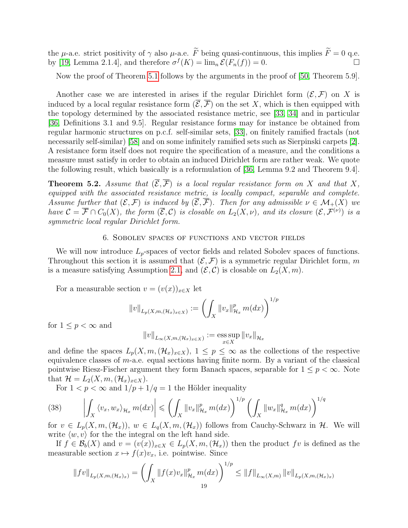the  $\mu$ -a.e. strict positivity of  $\gamma$  also  $\mu$ -a.e.  $\widetilde{F}$  being quasi-continuous, this implies  $\widetilde{F} = 0$  q.e.<br>by [19] Lemma 2.1.4], and therefore  $\sigma^f(K) = \lim_{\kappa \to \infty} \mathcal{E}(F_{\kappa}(f)) = 0$ . by [\[19,](#page-32-13) Lemma 2.1.4], and therefore  $\sigma^f(K) = \lim_{n \to \infty} \mathcal{E}(F_n(f)) = 0.$ 

Now the proof of Theorem [5.1](#page-17-0) follows by the arguments in the proof of [\[50,](#page-33-14) Theorem 5.9].

Another case we are interested in arises if the regular Dirichlet form  $(\mathcal{E}, \mathcal{F})$  on X is induced by a local regular resistance form  $(\overline{\mathcal{E}}, \overline{\mathcal{F}})$  on the set X, which is then equipped with the topology determined by the associated resistance metric, see [\[33,](#page-33-2) [34\]](#page-33-22) and in particular [\[36,](#page-33-15) Definitions 3.1 and 9.5]. Regular resistance forms may for instance be obtained from regular harmonic structures on p.c.f. self-similar sets, [\[33\]](#page-33-2), on finitely ramified fractals (not necessarily self-similar) [\[58\]](#page-33-12) and on some infinitely ramified sets such as Sierpinski carpets [\[2\]](#page-32-5). A resistance form itself does not require the specification of a measure, and the conditions a measure must satisfy in order to obtain an induced Dirichlet form are rather weak. We quote the following result, which basically is a reformulation of [\[36,](#page-33-15) Lemma 9.2 and Theorem 9.4].

<span id="page-18-1"></span>**Theorem 5.2.** Assume that  $(\overline{\mathcal{E}}, \overline{\mathcal{F}})$  is a local regular resistance form on X and that X, equipped with the associated resistance metric, is locally compact, separable and complete. Assume further that  $(\mathcal{E}, \mathcal{F})$  is induced by  $(\overline{\mathcal{E}}, \overline{\mathcal{F}})$ . Then for any admissible  $\nu \in \mathcal{M}_+(X)$  we have  $\mathcal{C} = \overline{\mathcal{F}} \cap C_0(X)$ , the form  $(\overline{\mathcal{E}}, \mathcal{C})$  is closable on  $L_2(X, \nu)$ , and its closure  $(\mathcal{E}, \mathcal{F}^{(\nu)})$  is a symmetric local regular Dirichlet form.

## 6. Sobolev spaces of functions and vector fields

<span id="page-18-0"></span>We will now introduce  $L_p$ -spaces of vector fields and related Sobolev spaces of functions. Throughout this section it is assumed that  $(\mathcal{E}, \mathcal{F})$  is a symmetric regular Dirichlet form, m is a measure satisfying Assumption [2.1,](#page-7-0) and  $(\mathcal{E}, \mathcal{C})$  is closable on  $L_2(X, m)$ .

For a measurable section  $v = (v(x))_{x \in X}$  let

$$
||v||_{L_p(X,m,(\mathcal{H}_x)_{x\in X})} := \left(\int_X ||v_x||_{\mathcal{H}_x}^p m(dx)\right)^{1/p}
$$

for  $1 \leq p < \infty$  and

$$
||v||_{L_{\infty}(X,m,(\mathcal{H}_x)_{x\in X})} := \operatorname*{ess\,sup}_{x\in X} ||v_x||_{\mathcal{H}_x}
$$

and define the spaces  $L_p(X, m, (\mathcal{H}_x)_{x \in X})$ ,  $1 \leq p \leq \infty$  as the collections of the respective equivalence classes of  $m$ -a.e. equal sections having finite norm. By a variant of the classical pointwise Riesz-Fischer argument they form Banach spaces, separable for  $1 \leq p < \infty$ . Note that  $\mathcal{H} = L_2(X, m, (\mathcal{H}_x)_{x \in X}).$ 

<span id="page-18-2"></span>For  $1 < p < \infty$  and  $1/p + 1/q = 1$  the Hölder inequality

$$
(38) \qquad \left| \int_{X} \langle v_x, w_x \rangle_{\mathcal{H}_x} m(dx) \right| \leqslant \left( \int_{X} \|v_x\|_{\mathcal{H}_x}^p m(dx) \right)^{1/p} \left( \int_{X} \|w_x\|_{\mathcal{H}_x}^q m(dx) \right)^{1/q}
$$

for  $v \in L_p(X, m, (\mathcal{H}_x))$ ,  $w \in L_q(X, m, (\mathcal{H}_x))$  follows from Cauchy-Schwarz in  $\mathcal{H}$ . We will write  $\langle w, v \rangle$  for the the integral on the left hand side.

If  $f \in \mathcal{B}_b(X)$  and  $v = (v(x))_{x \in X} \in L_p(X, m, (\mathcal{H}_x))$  then the product fv is defined as the measurable section  $x \mapsto f(x)v_x$ , i.e. pointwise. Since

$$
||fv||_{L_p(X,m,(\mathcal{H}_x)_x)} = \left(\int_X ||f(x)v_x||_{\mathcal{H}_x}^p m(dx)\right)^{1/p} \le ||f||_{L_\infty(X,m)} ||v||_{L_p(X,m,(\mathcal{H}_x)_x)}
$$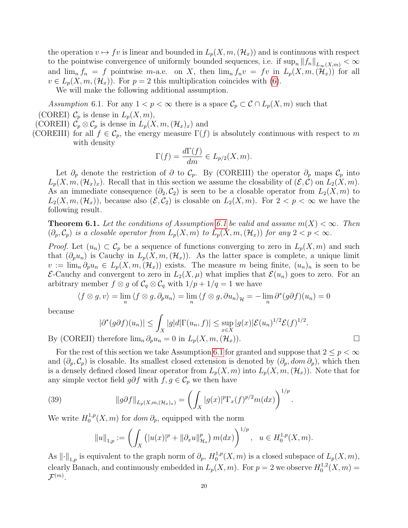the operation  $v \mapsto f v$  is linear and bounded in  $L_p(X, m,(\mathcal{H}_x))$  and is continuous with respect to the pointwise convergence of uniformly bounded sequences, i.e. if  $\sup_n ||f_n||_{L_\infty(X,m)} < \infty$ and  $\lim_{n} f_n = f$  pointwise m-a.e. on X, then  $\lim_{n} f_n v = fv$  in  $L_p(X, m, (\mathcal{H}_x))$  for all  $v \in L_p(X, m, (\mathcal{H}_x))$ . For  $p = 2$  this multiplication coincides with [\(6\)](#page-4-2).

We will make the following additional assumption.

<span id="page-19-0"></span>Assumption 6.1. For any  $1 < p < \infty$  there is a space  $\mathcal{C}_p \subset \mathcal{C} \cap L_p(X,m)$  such that

(COREI)  $\mathcal{C}_p$  is dense in  $L_p(X, m)$ ,

(COREII)  $\mathcal{C}_p \otimes \mathcal{C}_p$  is dense in  $L_p(X, m, (\mathcal{H}_x)_x)$  and

(COREIII) for all  $f \in \mathcal{C}_p$ , the energy measure  $\Gamma(f)$  is absolutely continuous with respect to m with density

$$
\Gamma(f) = \frac{d\Gamma(f)}{dm} \in L_{p/2}(X, m).
$$

Let  $\partial_p$  denote the restriction of  $\partial$  to  $\mathcal{C}_p$ . By (COREIII) the operator  $\partial_p$  maps  $\mathcal{C}_p$  into  $L_p(X, m,(\mathcal{H}_x)_x)$ . Recall that in this section we assume the closability of  $(\mathcal{E}, \mathcal{C})$  on  $L_2(X, m)$ . As an immediate consequence  $(\partial_2,\mathcal{C}_2)$  is seen to be a closable operator from  $L_2(X,m)$  to  $L_2(X, m, (\mathcal{H}_x))$ , because also  $(\mathcal{E}, \mathcal{C}_2)$  is closable on  $L_2(X, m)$ . For  $2 < p < \infty$  we have the following result.

**Theorem [6.1](#page-19-0).** Let the conditions of Assumption 6.1 be valid and assume  $m(X) < \infty$ . Then  $(\partial_p, \mathcal{C}_p)$  is a closable operator from  $L_p(X, m)$  to  $L_p(X, m, (\mathcal{H}_x))$  for any  $2 < p < \infty$ .

*Proof.* Let  $(u_n) \subset C_p$  be a sequence of functions converging to zero in  $L_p(X,m)$  and such that  $(\partial_p u_n)$  is Cauchy in  $L_p(X, m, (\mathcal{H}_x))$ . As the latter space is complete, a unique limit  $v := \lim_{n} \partial_p u_n \in L_p(X, m, (\mathcal{H}_x))$  exists. The measure m being finite,  $(u_n)_n$  is seen to be E-Cauchy and convergent to zero in  $L_2(X,\mu)$  what implies that  $\mathcal{E}(u_n)$  goes to zero. For an arbitrary member  $f \otimes g$  of  $C_q \otimes C_q$  with  $1/p + 1/q = 1$  we have

$$
\langle f \otimes g, v \rangle = \lim_{n} \langle f \otimes g, \partial_p u_n \rangle = \lim_{n} \langle f \otimes g, \partial u_n \rangle_{\mathcal{H}} = -\lim_{n} \partial^*(g \partial f)(u_n) = 0
$$

because

$$
|\partial^*(g\partial f)(u_n)| \leq \int_X |g|d|\Gamma(u_n, f)| \leq \sup_{x \in X} |g(x)|\mathcal{E}(u_n)^{1/2}\mathcal{E}(f)^{1/2}.
$$
  
therefore  $\lim_{x \to 0} \partial_x u_n = 0$  in  $L_n(X, m_n(\mathcal{H}))$ 

By (COREII) therefore  $\lim_{n} \partial_p u_n = 0$  in  $L_p(X, m, (\mathcal{H}_x))$ .

For the rest of this section we take Assumption [6.1](#page-19-0) for granted and suppose that  $2 \leq p < \infty$ and  $(\partial_p, \mathcal{C}_p)$  is closable. Its smallest closed extension is denoted by  $(\partial_p, dom \partial_p)$ , which then is a densely defined closed linear operator from  $L_p(X, m)$  into  $L_p(X, m,(\mathcal{H}_x))$ . Note that for any simple vector field  $g\partial f$  with  $f, g \in \mathcal{C}_p$  we then have

(39) 
$$
||g\partial f||_{L_p(X,m,(\mathcal{H}_x)_x)} = \left(\int_X |g(x)|^p \Gamma_x(f)^{p/2} m(dx)\right)^{1/p}.
$$

We write  $H_0^{1,p}$  $\int_0^{1,p}(X,m)$  for  $dom \partial_p$ , equipped with the norm

<span id="page-19-1"></span>
$$
||u||_{1,p} := \left(\int_X (|u(x)|^p + ||\partial_x u||_{\mathcal{H}_x}^p) m(dx)\right)^{1/p}, \ u \in H_0^{1,p}(X,m).
$$

As  $\lVert \cdot \rVert_{1,p}$  is equivalent to the graph norm of  $\partial_p$ ,  $H_0^{1,p}$  $L_p^{1,p}(X,m)$  is a closed subspace of  $L_p(X,m)$ , clearly Banach, and continuously embedded in  $L_p(X, m)$ . For  $p = 2$  we observe  $H_0^{1,2}$  $C_0^{1,2}(X,m) =$  $\mathcal{F}^{(m)}.$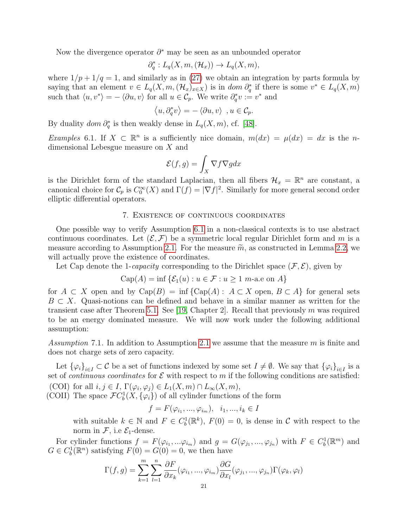Now the divergence operator  $\partial^*$  may be seen as an unbounded operator

$$
\partial_q^*: L_q(X, m, (\mathcal{H}_x)) \to L_q(X, m),
$$

where  $1/p + 1/q = 1$ , and similarly as in [\(27\)](#page-14-2) we obtain an integration by parts formula by saying that an element  $v \in L_q(X, m, (\mathcal{H}_x)_{x \in X})$  is in  $dom \partial_q^*$  if there is some  $v^* \in L_q(X, m)$ such that  $\langle u, v^* \rangle = -\langle \partial u, v \rangle$  for all  $u \in \mathcal{C}_p$ . We write  $\partial_q^* v := v^*$  and

$$
\left\langle u,\partial_q^*v\right\rangle=-\left\langle \partial u,v\right\rangle\ , u\in\mathcal{C}_p.
$$

By duality  $dom \partial_q^*$  is then weakly dense in  $L_q(X, m)$ , cf. [\[48\]](#page-33-21).

Examples 6.1. If  $X \subset \mathbb{R}^n$  is a sufficiently nice domain,  $m(dx) = \mu(dx) = dx$  is the ndimensional Lebesgue measure on X and

$$
\mathcal{E}(f,g) = \int_X \nabla f \nabla g dx
$$

is the Dirichlet form of the standard Laplacian, then all fibers  $\mathcal{H}_x = \mathbb{R}^n$  are constant, a canonical choice for  $\mathcal{C}_p$  is  $C_0^{\infty}(X)$  and  $\Gamma(f) = |\nabla f|^2$ . Similarly for more general second order elliptic differential operators.

### 7. Existence of continuous coordinates

<span id="page-20-0"></span>One possible way to verify Assumption [6.1](#page-19-0) in a non-classical contexts is to use abstract continuous coordinates. Let  $(\mathcal{E}, \mathcal{F})$  be a symmetric local regular Dirichlet form and m is a measure according to Assumption [2.1.](#page-7-0) For the measure  $\widetilde{m}$ , as constructed in Lemma [2.2,](#page-6-0) we will actually prove the existence of coordinates.

Let Cap denote the 1-*capacity* corresponding to the Dirichlet space  $(\mathcal{F}, \mathcal{E})$ , given by

Cap(A) = inf 
$$
\{\mathcal{E}_1(u) : u \in \mathcal{F} : u \ge 1 \text{ m-a.e on } A\}
$$

for  $A \subset X$  open and by  $Cap(B) = \inf \{Cap(A) : A \subset X \text{ open}, B \subset A\}$  for general sets  $B \subset X$ . Quasi-notions can be defined and behave in a similar manner as written for the transient case after Theorem [5.1.](#page-17-0) See [\[19,](#page-32-13) Chapter 2]. Recall that previously m was required to be an energy dominated measure. We will now work under the following additional assumption:

<span id="page-20-1"></span>Assumption 7.1. In addition to Assumption [2.1](#page-7-0) we assume that the measure m is finite and does not charge sets of zero capacity.

Let  ${\{\varphi_i\}}_{i\in I}\subset \mathcal{C}$  be a set of functions indexed by some set  $I\neq \emptyset$ . We say that  ${\{\varphi_i\}}_{i\in I}$  is a set of *continuous coordinates* for  $\mathcal E$  with respect to m if the following conditions are satisfied: (COI) for all  $i, j \in I$ ,  $\Gamma(\varphi_i, \varphi_j) \in L_1(X, m) \cap L_\infty(X, m)$ ,

(COII) The space  $\mathcal{F}C_b^1(X, \{\varphi_i\})$  of all cylinder functions of the form

 $f = F(\varphi_{i_1}, ..., \varphi_{i_m}), \ i_1, ..., i_k \in I$ 

with suitable  $k \in \mathbb{N}$  and  $F \in C_b^1(\mathbb{R}^k)$ ,  $F(0) = 0$ , is dense in C with respect to the norm in  $\mathcal{F}$ , i.e  $\mathcal{E}_1$ -dense.

For cylinder functions  $f = F(\varphi_{i_1},...\varphi_{i_m})$  and  $g = G(\varphi_{j_1},...,\varphi_{j_n})$  with  $F \in C_b^1(\mathbb{R}^m)$  and  $G \in C_b^1(\mathbb{R}^n)$  satisfying  $F(0) = G(0) = 0$ , we then have

$$
\Gamma(f,g) = \sum_{k=1}^{m} \sum_{l=1}^{n} \frac{\partial F}{\partial x_k}(\varphi_{i_1}, ..., \varphi_{i_m}) \frac{\partial G}{\partial x_l}(\varphi_{j_1}, ..., \varphi_{j_n}) \Gamma(\varphi_k, \varphi_l)
$$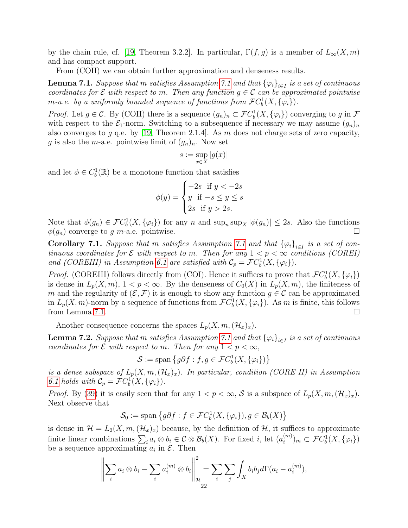by the chain rule, cf. [\[19,](#page-32-13) Theorem 3.2.2]. In particular,  $\Gamma(f,g)$  is a member of  $L_{\infty}(X,m)$ and has compact support.

From (COII) we can obtain further approximation and denseness results.

<span id="page-21-0"></span>**Lemma [7.1](#page-20-1).** Suppose that  $m$  satisfies Assumption 7.1 and that  $\{\varphi_i\}_{i\in I}$  is a set of continuous coordinates for  $\mathcal E$  with respect to m. Then any function  $g \in \mathcal C$  can be approximated pointwise *m*-a.e. by a uniformly bounded sequence of functions from  $\mathcal{F}Cb^1(X,\{\varphi_i\})$ .

*Proof.* Let  $g \in \mathcal{C}$ . By (COII) there is a sequence  $(g_n)_n \subset \mathcal{F}C_b^1(X, \{\varphi_i\})$  converging to g in  $\mathcal F$ with respect to the  $\mathcal{E}_1$ -norm. Switching to a subsequence if necessary we may assume  $(g_n)_n$ also converges to g q.e. by [\[19,](#page-32-13) Theorem 2.1.4]. As m does not charge sets of zero capacity, g is also the m-a.e. pointwise limit of  $(g_n)_n$ . Now set

$$
s:=\sup_{x\in X}|g(x)|
$$

and let  $\phi \in C_b^1(\mathbb{R})$  be a monotone function that satisfies

$$
\phi(y) = \begin{cases}\n-2s & \text{if } y < -2s \\
y & \text{if } -s \le y \le s \\
2s & \text{if } y > 2s.\n\end{cases}
$$

Note that  $\phi(g_n) \in \mathcal{F}C_b^1(X, \{\varphi_i\})$  for any n and  $\sup_n \sup_X |\phi(g_n)| \leq 2s$ . Also the functions  $\phi(q_n)$  converge to g m-a.e. pointwise.

**Corollary [7.1](#page-20-1).** Suppose that m satisfies Assumption 7.1 and that  ${\{\varphi_i\}}_{i\in I}$  is a set of continuous coordinates for  $\mathcal E$  with respect to m. Then for any  $1 < p < \infty$  conditions (COREI) and (COREIII) in Assumption [6.1](#page-19-0) are satisfied with  $C_p = \mathcal{F}C_b^1(X, {\varphi_i})$ .

*Proof.* (COREIII) follows directly from (COI). Hence it suffices to prove that  $\mathcal{F}C_b^1(X, \{\varphi_i\})$ is dense in  $L_p(X, m)$ ,  $1 < p < \infty$ . By the denseness of  $C_0(X)$  in  $L_p(X, m)$ , the finiteness of m and the regularity of  $(\mathcal{E}, \mathcal{F})$  it is enough to show any function  $g \in \mathcal{C}$  can be approximated in  $L_p(X, m)$ -norm by a sequence of functions from  $\mathcal{F}C_b^1(X, \{\varphi_i\})$ . As m is finite, this follows from Lemma [7.1.](#page-21-0)

Another consequence concerns the spaces  $L_p(X, m,(\mathcal{H}_x)_x)$ .

**Lemma 7.2.** Suppose that  $m$  satisfies Assumption [7.1](#page-20-1) and that  $\{\varphi_i\}_{i\in I}$  is a set of continuous coordinates for  $\mathcal E$  with respect to m. Then for any  $1 < p < \infty$ ,

 $S := \text{span} \left\{ g \partial f : f, g \in \mathcal{F}C_b^1(X, \{\varphi_i\}) \right\}$ 

is a dense subspace of  $L_p(X, m,(\mathcal{H}_x)_x)$ . In particular, condition (CORE II) in Assumption [6.1](#page-19-0) holds with  $C_p = \mathcal{F}C_b^1(X, {\varphi_i}).$ 

*Proof.* By [\(39\)](#page-19-1) it is easily seen that for any  $1 < p < \infty$ , S is a subspace of  $L_p(X, m, (\mathcal{H}_x)_x)$ . Next observe that

$$
\mathcal{S}_0 := \text{span}\left\{ g\partial f : f \in \mathcal{F}C_b^1(X, \{\varphi_i\}), g \in \mathcal{B}_b(X) \right\}
$$

is dense in  $\mathcal{H} = L_2(X, m, (\mathcal{H}_x)_x)$  because, by the definition of  $\mathcal{H}$ , it suffices to approximate finite linear combinations  $\sum_i a_i \otimes b_i \in \mathcal{C} \otimes \mathcal{B}_b(X)$ . For fixed *i*, let  $(a_i^{(m)}$  $\mathcal{F}^{(m)}_{i,m}$   $\subset$   $\mathcal{F}C_b^1(X, {\varphi_i})$ be a sequence approximating  $a_i$  in  $\mathcal{E}$ . Then

$$
\left\| \sum_{i} a_i \otimes b_i - \sum_{i} a_i^{(m)} \otimes b_i \right\|_{\mathcal{H}}^2 = \sum_{i} \sum_{j} \int_X b_i b_j d\Gamma(a_i - a_i^{(m)}),
$$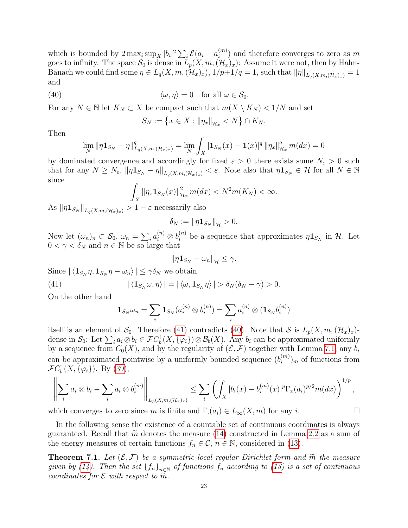which is bounded by  $2 \max_i \sup_X |b_i|^2 \sum_i \mathcal{E}(a_i - a_i^{(m)})$  $\binom{m}{i}$  and therefore converges to zero as m goes to infinity. The space  $S_0$  is dense in  $\tilde{L}_p(X, m,(\mathcal{H}_x)_x)$ : Assume it were not, then by Hahn-Banach we could find some  $\eta \in L_q(X, m, (\mathcal{H}_x)_x)$ ,  $1/p+1/q = 1$ , such that  $\|\eta\|_{L_q(X, m, (\mathcal{H}_x)_x)} = 1$ and

(40) 
$$
\langle \omega, \eta \rangle = 0 \quad \text{for all } \omega \in \mathcal{S}_0.
$$

For any  $N \in \mathbb{N}$  let  $K_N \subset X$  be compact such that  $m(X \setminus K_N) < 1/N$  and set

<span id="page-22-1"></span>
$$
S_N := \{ x \in X : ||\eta_x||_{\mathcal{H}_x} < N \} \cap K_N.
$$

Then

$$
\lim_{N} \|\eta \mathbf{1}_{S_N} - \eta\|_{L_q(X,m,(\mathcal{H}_x)_x)}^q = \lim_{N} \int_X |\mathbf{1}_{S_N}(x) - \mathbf{1}(x)|^q \|\eta_x\|_{\mathcal{H}_x}^q m(dx) = 0
$$

by dominated convergence and accordingly for fixed  $\varepsilon > 0$  there exists some  $N_{\varepsilon} > 0$  such that for any  $N \geq N_{\varepsilon}$ ,  $\|\eta \mathbf{1}_{S_N} - \eta\|_{L_q(X,m,(\mathcal{H}_x)_x)} < \varepsilon$ . Note also that  $\eta \mathbf{1}_{S_N} \in \mathcal{H}$  for all  $N \in \mathbb{N}$ since

$$
\int_X \|\eta_x \mathbf{1}_{S_N}(x)\|_{\mathcal{H}_x}^2 m(dx) < N^2 m(K_N) < \infty.
$$

As  $\|\eta \mathbf{1}_{S_N}\|_{L_q(X,m,(\mathcal{H}_x)_x)} > 1 - \varepsilon$  necessarily also

$$
\delta_N := \|\eta \mathbf{1}_{S_N}\|_{\mathcal{H}} > 0.
$$

Now let  $(\omega_n)_n \subset \mathcal{S}_0$ ,  $\omega_n = \sum_i a_i^{(n)} \otimes b_i^{(n)}$  be a sequence that approximates  $\eta \mathbf{1}_{S_N}$  in H. Let  $0 < \gamma < \delta_N$  and  $n \in \mathbb{N}$  be so large that

$$
\|\eta\mathbf{1}_{S_N}-\omega_n\|_{\mathcal{H}}\leq \gamma.
$$

Since  $|\langle \mathbf{1}_{S_N} \eta, \mathbf{1}_{S_N} \eta - \omega_n \rangle| \leq \gamma \delta_N$  we obtain

(41) 
$$
|\langle \mathbf{1}_{S_N}\omega, \eta \rangle| = |\langle \omega, \mathbf{1}_{S_N}\eta \rangle| > \delta_N(\delta_N - \gamma) > 0.
$$

On the other hand

<span id="page-22-0"></span>
$$
1_{S_N}\omega_n = \sum_i 1_{S_N}(a_i^{(n)} \otimes b_i^{(n)}) = \sum_i a_i^{(n)} \otimes (1_{S_N}b_i^{(n)})
$$

itself is an element of  $\mathcal{S}_0$ . Therefore [\(41\)](#page-22-0) contradicts [\(40\)](#page-22-1). Note that  $\mathcal{S}$  is  $L_p(X, m,(\mathcal{H}_x)_x)$ dense in  $S_0$ : Let  $\sum_i a_i \otimes b_i \in \mathcal{F}C_b^1(X, \{\varphi_i\}) \otimes \mathcal{B}_b(X)$ . Any  $b_i$  can be approximated uniformly by a sequence from  $C_0(X)$ , and by the regularity of  $(\mathcal{E}, \mathcal{F})$  together with Lemma [7.1,](#page-21-0) any  $b_i$ can be approximated pointwise by a uniformly bounded sequence  $(b_i^{(m)})$  $\binom{m}{i}$  of functions from  $\mathcal{F}C_b^1(X,\{\varphi_i\})$ . By [\(39\)](#page-19-1),

$$
\left\|\sum_{i}a_i\otimes b_i-\sum_{i}a_i\otimes b_i^{(m)}\right\|_{L_p(X,m,(\mathcal{H}_x)_x)}\leq \sum_{i}\left(\int_X|b_i(x)-b_i^{(m)}(x)|^p\Gamma_x(a_i)^{p/2}m(dx)\right)^{1/p},
$$

which converges to zero since m is finite and  $\Gamma(a_i) \in L_\infty(X, m)$  for any i.

In the following sense the existence of a countable set of continuous coordinates is always guaranteed. Recall that  $\tilde{m}$  denotes the measure [\(14\)](#page-7-1) constructed in Lemma [2.2](#page-6-0) as a sum of the energy measures of certain functions  $f_n \in \mathcal{C}$ ,  $n \in \mathbb{N}$ , considered in [\(13\)](#page-7-2).

<span id="page-22-2"></span>**Theorem 7.1.** Let  $(\mathcal{E}, \mathcal{F})$  be a symmetric local regular Dirichlet form and  $\tilde{m}$  the measure given by [\(14\)](#page-7-1). Then the set  ${f_n}_{n\in\mathbb{N}}$  of functions  $f_n$  according to [\(13\)](#page-7-2) is a set of continuous coordinates for  $\mathcal E$  with respect to  $\widetilde{m}$ .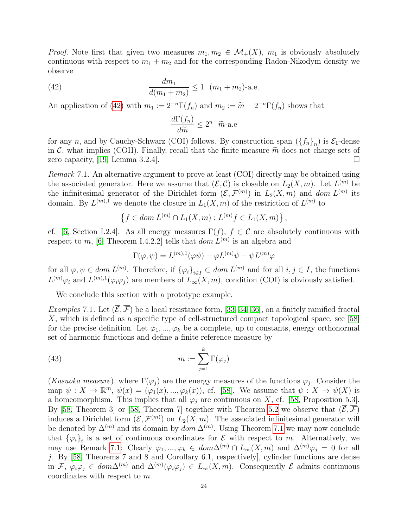*Proof.* Note first that given two measures  $m_1, m_2 \in \mathcal{M}_+(X)$ ,  $m_1$  is obviously absolutely continuous with respect to  $m_1 + m_2$  and for the corresponding Radon-Nikodym density we observe

(42) 
$$
\frac{dm_1}{d(m_1 + m_2)} \le 1 \quad (m_1 + m_2)\text{-a.e.}
$$

An application of [\(42\)](#page-23-0) with  $m_1 := 2^{-n} \Gamma(f_n)$  and  $m_2 := \widetilde{m} - 2^{-n} \Gamma(f_n)$  shows that

<span id="page-23-0"></span>
$$
\frac{d\Gamma(f_n)}{d\widetilde{m}} \le 2^n \quad \widetilde{m}\text{-a.e}
$$

for any n, and by Cauchy-Schwarz (COI) follows. By construction span  $(\{f_n\}_n)$  is  $\mathcal{E}_1$ -dense in C, what implies (COII). Finally, recall that the finite measure  $\tilde{m}$  does not charge sets of zero capacity, [19, Lemma 3.2.4]. zero capacity, [\[19,](#page-32-13) Lemma 3.2.4].

<span id="page-23-1"></span>Remark 7.1. An alternative argument to prove at least (COI) directly may be obtained using the associated generator. Here we assume that  $(\mathcal{E}, \mathcal{C})$  is closable on  $L_2(X, m)$ . Let  $L^{(m)}$  be the infinitesimal generator of the Dirichlet form  $(\mathcal{E}, \mathcal{F}^{(m)})$  in  $L_2(X, m)$  and dom  $L^{(m)}$  its domain. By  $L^{(m),1}$  we denote the closure in  $L_1(X,m)$  of the restriction of  $L^{(m)}$  to

$$
\{f \in dom L^{(m)} \cap L_1(X,m) : L^{(m)}f \in L_1(X,m)\},\
$$

cf. [\[6,](#page-32-19) Section I.2.4]. As all energy measures  $\Gamma(f)$ ,  $f \in \mathcal{C}$  are absolutely continuous with respect to m, [\[6,](#page-32-19) Theorem I.4.2.2] tells that  $dom L^{(m)}$  is an algebra and

<span id="page-23-2"></span>
$$
\Gamma(\varphi,\psi) = L^{(m),1}(\varphi\psi) - \varphi L^{(m)}\psi - \psi L^{(m)}\varphi
$$

for all  $\varphi, \psi \in dom L^{(m)}$ . Therefore, if  ${\{\varphi_i\}}_{i \in I} \subset dom L^{(m)}$  and for all  $i, j \in I$ , the functions  $L^{(m)}\varphi_i$  and  $L^{(m),1}(\varphi_i\varphi_j)$  are members of  $L_\infty(X,m)$ , condition (COI) is obviously satisfied.

We conclude this section with a prototype example.

*Examples* 7.1. Let  $(\overline{\mathcal{E}}, \overline{\mathcal{F}})$  be a local resistance form, [\[33,](#page-33-2) [34,](#page-33-22) [36\]](#page-33-15), on a finitely ramified fractal X, which is defined as a specific type of cell-structured compact topological space, see [\[58\]](#page-33-12) for the precise definition. Let  $\varphi_1, ..., \varphi_k$  be a complete, up to constants, energy orthonormal set of harmonic functions and define a finite reference measure by

(43) 
$$
m := \sum_{j=1}^{k} \Gamma(\varphi_j)
$$

(Kusuoka measure), where  $\Gamma(\varphi_j)$  are the energy measures of the functions  $\varphi_j$ . Consider the map  $\psi: X \to \mathbb{R}^m$ ,  $\psi(x) = (\varphi_1(x), ..., \varphi_k(x))$ , cf. [\[58\]](#page-33-12). We assume that  $\psi: X \to \psi(X)$  is a homeomorphism. This implies that all  $\varphi_i$  are continuous on X, cf. [\[58,](#page-33-12) Proposition 5.3]. By [\[58,](#page-33-12) Theorem 3] or [58, Theorem 7] together with Theorem [5.2](#page-18-1) we observe that  $(\overline{\mathcal{E}}, \overline{\mathcal{F}})$ induces a Dirichlet form  $(\mathcal{E}, \mathcal{F}^{(m)})$  on  $L_2(X, m)$ . The associated infinitesimal generator will be denoted by  $\Delta^{(m)}$  and its domain by  $dom \Delta^{(m)}$ . Using Theorem [7.1](#page-22-2) we may now conclude that  $\{\varphi_i\}_i$  is a set of continuous coordinates for  $\mathcal E$  with respect to m. Alternatively, we may use Remark [7.1:](#page-23-1) Clearly  $\varphi_1, ..., \varphi_k \in dom\Delta^{(m)} \cap L_\infty(X,m)$  and  $\Delta^{(m)}\varphi_j = 0$  for all j. By  $[58,$  Theorems 7 and 8 and Corollary 6.1, respectively], cylinder functions are dense in  $\mathcal{F}, \varphi_i\varphi_j \in dom\Delta^{(m)}$  and  $\Delta^{(m)}(\varphi_i\varphi_j) \in L_\infty(X,m)$ . Consequently  $\mathcal E$  admits continuous coordinates with respect to m.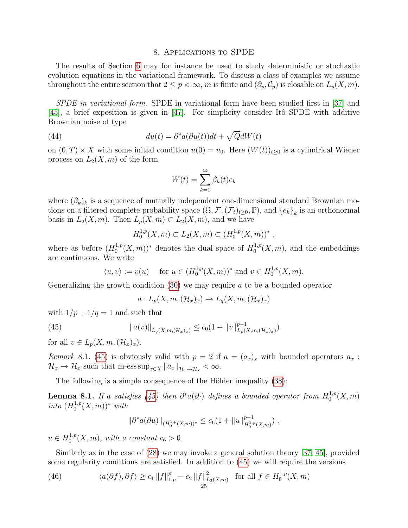### 8. Applications to SPDE

<span id="page-24-0"></span>The results of Section [6](#page-18-0) may for instance be used to study deterministic or stochastic evolution equations in the variational framework. To discuss a class of examples we assume throughout the entire section that  $2 \le p < \infty$ , m is finite and  $(\partial_p, \mathcal{C}_p)$  is closable on  $L_p(X, m)$ .

SPDE in variational form. SPDE in variational form have been studied first in [\[37\]](#page-33-23) and  $[45]$ , a brief exposition is given in  $[47]$ . For simplicity consider Itô SPDE with additive Brownian noise of type

(44) 
$$
du(t) = \partial^* a(\partial u(t))dt + \sqrt{Q}dW(t)
$$

on  $(0, T) \times X$  with some initial condition  $u(0) = u_0$ . Here  $(W(t))_{t\geq 0}$  is a cylindrical Wiener process on  $L_2(X, m)$  of the form

<span id="page-24-2"></span>
$$
W(t) = \sum_{k=1}^{\infty} \beta_k(t)e_k
$$

where  $(\beta_k)_k$  is a sequence of mutually independent one-dimensional standard Brownian motions on a filtered complete probability space  $(\Omega, \mathcal{F}, (\mathcal{F}_t)_{t\geq 0}, \mathbb{P})$ , and  $\{e_k\}_k$  is an orthonormal basis in  $L_2(X, m)$ . Then  $L_p(X, m) \subset L_2(X, m)$ , and we have

$$
H_0^{1,p}(X,m) \subset L_2(X,m) \subset (H_0^{1,p}(X,m))^*
$$
,

where as before  $(H_0^{1,p})$  $(1,p(X,m))^*$  denotes the dual space of  $H_0^{1,p}$  $\binom{1,p}{0}(X,m)$ , and the embeddings are continuous. We write

$$
\langle u, v \rangle := v(u)
$$
 for  $u \in (H_0^{1,p}(X,m))^*$  and  $v \in H_0^{1,p}(X,m)$ .

Generalizing the growth condition [\(30\)](#page-15-1) we may require a to be a bounded operator

<span id="page-24-1"></span>
$$
a: L_p(X, m, (\mathcal{H}_x)_x) \to L_q(X, m, (\mathcal{H}_x)_x)
$$

with  $1/p + 1/q = 1$  and such that

(45) 
$$
||a(v)||_{L_q(X,m,(\mathcal{H}_x)_x)} \leq c_0(1+||v||_{L_p(X,m,(\mathcal{H}_x)_x)}^{p-1})
$$

for all  $v \in L_p(X, m, (\mathcal{H}_x)_x)$ .

Remark 8.1. [\(45\)](#page-24-1) is obviously valid with  $p = 2$  if  $a = (a_x)_x$  with bounded operators  $a_x$ :  $\mathcal{H}_x \to \mathcal{H}_x$  such that m-ess  $\sup_{x \in X} ||a_x||_{\mathcal{H}_x \to \mathcal{H}_x} < \infty$ .

The following is a simple consequence of the Hölder inequality  $(38)$ :

**Lemma 8.1.** If a satisfies [\(45\)](#page-24-1) then  $\partial^* a(\partial \cdot)$  defines a bounded operator from  $H_0^{1,p}$  $_{0}^{1,p}(X,m)$ into  $(H_0^{1,p})$  $_{0}^{1,p}(X,m))$ \* with

$$
\|\partial^* a(\partial u)\|_{(H_0^{1,p}(X,m))^*} \leq c_6(1 + \|u\|_{H_0^{1,p}(X,m)}^{p-1}) \;,
$$

 $u \in H_0^{1,p}$  $v_0^{1,p}(X,m)$ , with a constant  $c_6 > 0$ .

Similarly as in the case of [\(28\)](#page-14-1) we may invoke a general solution theory [\[37,](#page-33-23) [45\]](#page-33-24), provided some regularity conditions are satisfied. In addition to [\(45\)](#page-24-1) we will require the versions

<span id="page-24-3"></span>(46) 
$$
\langle a(\partial f), \partial f \rangle \ge c_1 \|f\|_{1,p}^p - c_2 \|f\|_{L_2(X,m)}^2 \text{ for all } f \in H_0^{1,p}(X,m)
$$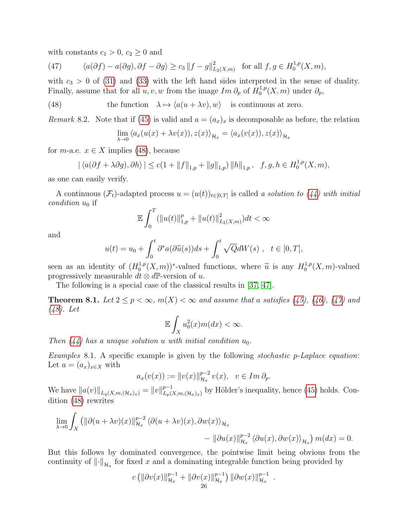with constants  $c_1 > 0$ ,  $c_2 \geq 0$  and

<span id="page-25-1"></span>(47) 
$$
\langle a(\partial f) - a(\partial g), \partial f - \partial g \rangle \ge c_3 \|f - g\|_{L_2(X,m)}^2 \text{ for all } f, g \in H_0^{1,p}(X,m),
$$

with  $c_3 > 0$  of [\(31\)](#page-15-2) and [\(33\)](#page-15-4) with the left hand sides interpreted in the sense of duality. Finally, assume that for all  $u, v, w$  from the image  $Im \partial_p$  of  $H_0^{1,p}$  $\partial_0^{1,p}(X,m)$  under  $\partial_p$ ,

(48) the function  $\lambda \mapsto \langle a(u + \lambda v), w \rangle$  is continuous at zero.

Remark 8.2. Note that if [\(45\)](#page-24-1) is valid and  $a = (a_x)_x$  is decomposable as before, the relation

<span id="page-25-0"></span>
$$
\lim_{\lambda \to 0} \langle a_x(u(x) + \lambda v(x)), z(x) \rangle_{\mathcal{H}_x} = \langle a_x(v(x)), z(x) \rangle_{\mathcal{H}_x}
$$

for *m*-a.e.  $x \in X$  implies [\(48\)](#page-25-0), because

$$
|\langle a(\partial f + \lambda \partial g), \partial h \rangle| \le c(1 + ||f||_{1,p} + ||g||_{1,p}) ||h||_{1,p}, \quad f, g, h \in H_0^{1,p}(X, m),
$$

as one can easily verify.

A continuous  $(\mathcal{F}_t)$ -adapted process  $u = (u(t))_{t \in [0,T]}$  is called a solution to  $(44)$  with initial *condition*  $u_0$  if

$$
\mathbb{E}\int_0^T(\|u(t)\|_{1,p}^p+\|u(t)\|_{L_2(X,m)}^2)dt<\infty
$$

and

$$
u(t) = u_0 + \int_0^t \partial^* a(\partial \widetilde{u}(s))ds + \int_0^t \sqrt{Q}dW(s) , \quad t \in [0, T],
$$

seen as an identity of  $(H_0^{1,p})$  $\widetilde{u}^{1,p}(X,m)$ <sup>\*</sup>-valued functions, where  $\widetilde{u}$  is any  $H_0^{1,p}$  $_{0}^{1,p}(X,m)$ -valued progressively measurable  $dt \otimes d\mathbb{P}$ -version of u.

The following is a special case of the classical results in [\[37,](#page-33-23) [47\]](#page-33-25).

**Theorem 8.1.** Let  $2 \le p < \infty$ ,  $m(X) < \infty$  and assume that a satisfies [\(45\)](#page-24-1), [\(46\)](#page-24-3), [\(47\)](#page-25-1) and [\(48\)](#page-25-0). Let

$$
\mathbb{E}\int_{X}u_0^2(x)m(dx) < \infty.
$$

Then  $(44)$  has a unique solution u with initial condition  $u_0$ .

Examples 8.1. A specific example is given by the following stochastic p-Laplace equation: Let  $a = (a_x)_{x \in X}$  with

$$
a_x(v(x)) := ||v(x)||_{\mathcal{H}_x}^{p-2} v(x), \quad v \in Im \, \partial_p.
$$

We have  $||a(v)||_{L_q(X,m,(\mathcal{H}_x)_x)} = ||v||_{L_p(x)}^{p-1}$  $L_{\nu}(X,m,(\mathcal{H}_x)_x)$  by Hölder's inequality, hence [\(45\)](#page-24-1) holds. Condition [\(48\)](#page-25-0) rewrites

$$
\lim_{\lambda \to 0} \int_X \left( \|\partial(u + \lambda v)(x)\|_{\mathcal{H}_x}^{p-2} \langle \partial(u + \lambda v)(x), \partial w(x) \rangle_{\mathcal{H}_x} - \|\partial u(x)\|_{\mathcal{H}_x}^{p-2} \langle \partial u(x), \partial w(x) \rangle_{\mathcal{H}_x} \right) m(dx) = 0.
$$

But this follows by dominated convergence, the pointwise limit being obvious from the continuity of  $\left\Vert \cdot\right\Vert _{\mathcal{H}_{x}}$  for fixed x and a dominating integrable function being provided by

$$
c \left( \|\partial v(x)\|_{\mathcal{H}_x}^{p-1} + \|\partial v(x)\|_{\mathcal{H}_x}^{p-1} \right) \|\partial w(x)\|_{\mathcal{H}_x}^{p-1}.
$$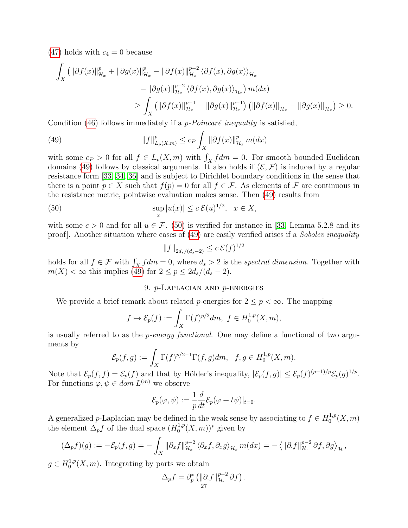$(47)$  holds with  $c_4 = 0$  because

$$
\int_X \left( \|\partial f(x)\|_{\mathcal{H}_x}^p + \|\partial g(x)\|_{\mathcal{H}_x}^p - \|\partial f(x)\|_{\mathcal{H}_x}^{p-2} \langle \partial f(x), \partial g(x) \rangle_{\mathcal{H}_x} \right. \\
\left. - \|\partial g(x)\|_{\mathcal{H}_x}^{p-2} \langle \partial f(x), \partial g(x) \rangle_{\mathcal{H}_x} \right) m(dx) \\
\ge \int_X \left( \|\partial f(x)\|_{\mathcal{H}_x}^{p-1} - \|\partial g(x)\|_{\mathcal{H}_x}^{p-1} \right) \left( \|\partial f(x)\|_{\mathcal{H}_x} - \|\partial g(x)\|_{\mathcal{H}_x} \right) \ge 0.
$$

Condition [\(46\)](#page-24-3) follows immediately if a *p-Poincaré inequality* is satisfied,

<span id="page-26-1"></span>(49) 
$$
||f||_{L_p(X,m)}^p \le c_P \int_X ||\partial f(x)||_{\mathcal{H}_x}^p m(dx)
$$

with some  $c_P > 0$  for all  $f \in L_p(X, m)$  with  $\int_X f dm = 0$ . For smooth bounded Euclidean domains [\(49\)](#page-26-1) follows by classical arguments. It also holds if  $(\mathcal{E}, \mathcal{F})$  is induced by a regular resistance form [\[33,](#page-33-2) [34,](#page-33-22) [36\]](#page-33-15) and is subject to Dirichlet boundary conditions in the sense that there is a point  $p \in X$  such that  $f(p) = 0$  for all  $f \in \mathcal{F}$ . As elements of  $\mathcal F$  are continuous in the resistance metric, pointwise evaluation makes sense. Then [\(49\)](#page-26-1) results from

(50) 
$$
\sup_x |u(x)| \le c \mathcal{E}(u)^{1/2}, \quad x \in X,
$$

with some  $c > 0$  and for all  $u \in \mathcal{F}$ . [\(50\)](#page-26-2) is verified for instance in [\[33,](#page-33-2) Lemma 5.2.8 and its proof]. Another situation where cases of [\(49\)](#page-26-1) are easily verified arises if a Sobolev inequality

<span id="page-26-2"></span>
$$
||f||_{2d_s/(d_s-2)} \le c \,\mathcal{E}(f)^{1/2}
$$

holds for all  $f \in \mathcal{F}$  with  $\int_X f dm = 0$ , where  $d_s > 2$  is the spectral dimension. Together with  $m(X) < \infty$  this implies [\(49\)](#page-26-1) for  $2 \le p \le 2d_s/(d_s-2)$ .

# 9. p-Laplacian and p-energies

<span id="page-26-0"></span>We provide a brief remark about related *p*-energies for  $2 \leq p < \infty$ . The mapping

$$
f \mapsto \mathcal{E}_p(f) := \int_X \Gamma(f)^{p/2} dm, \ f \in H_0^{1,p}(X,m),
$$

is usually referred to as the p-energy functional. One may define a functional of two arguments by

$$
\mathcal{E}_p(f,g) := \int_X \Gamma(f)^{p/2-1} \Gamma(f,g) dm, \quad f, g \in H_0^{1,p}(X,m).
$$

Note that  $\mathcal{E}_p(f,f) = \mathcal{E}_p(f)$  and that by Hölder's inequality,  $|\mathcal{E}_p(f,g)| \leq \mathcal{E}_p(f)^{(p-1)/p} \mathcal{E}_p(g)^{1/p}$ . For functions  $\varphi, \psi \in \text{dom } L^{(m)}$  we observe

$$
\mathcal{E}_p(\varphi, \psi) := \frac{1}{p} \frac{d}{dt} \mathcal{E}_p(\varphi + t\psi)|_{t=0}.
$$

A generalized p-Laplacian may be defined in the weak sense by associating to  $f \in H_0^{1,p}$  $0^{1,p}(X,m)$ the element  $\Delta_p f$  of the dual space  $(H_0^{1,p})$  $_{0}^{1,p}(X,m))^{*}$  given by

$$
(\Delta_p f)(g) := -\mathcal{E}_p(f,g) = -\int_X \|\partial_x f\|_{\mathcal{H}_x}^{p-2} \langle \partial_x f, \partial_x g \rangle_{\mathcal{H}_x} m(dx) = -\langle \|\partial_x f\|_{\mathcal{H}_x}^{p-2} \partial f, \partial g \rangle_{\mathcal{H}},
$$

 $g \in H_0^{1,p}$  $_{0}^{1,p}(X,m)$ . Integrating by parts we obtain

$$
\Delta_p f = \partial_p^* \left( \|\partial f\|_{\mathcal{H}}^{p-2} \partial f \right).
$$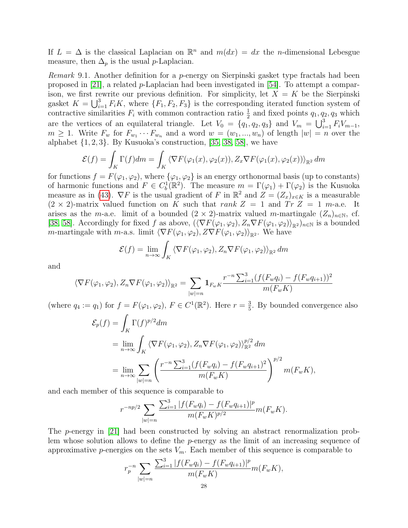If  $L = \Delta$  is the classical Laplacian on  $\mathbb{R}^n$  and  $m(dx) = dx$  the *n*-dimensional Lebesgue measure, then  $\Delta_p$  is the usual *p*-Laplacian.

*Remark* 9.1. Another definition for a *p*-energy on Sierpinski gasket type fractals had been proposed in  $[21]$ , a related p-Laplacian had been investigated in  $[54]$ . To attempt a comparison, we first rewrite our previous definition. For simplicity, let  $X = K$  be the Sierpinski gasket  $K = \bigcup_{i=1}^{3} F_i K$ , where  $\{F_1, F_2, F_3\}$  is the corresponding iterated function system of contractive similarities  $F_i$  with common contraction ratio  $\frac{1}{2}$  and fixed points  $q_1, q_2, q_3$  which are the vertices of an equilateral triangle. Let  $V_0 = \{q_1, q_2, q_3\}$  and  $V_m = \bigcup_{i=1}^3 F_i V_{m-1}$ ,  $m \geq 1$ . Write  $F_w$  for  $F_{w_1} \cdots F_{w_n}$  and a word  $w = (w_1, ..., w_n)$  of length  $|w| = n$  over the alphabet  $\{1, 2, 3\}$ . By Kusuoka's construction, [\[35,](#page-33-11) [38,](#page-33-10) [58\]](#page-33-12), we have

$$
\mathcal{E}(f) = \int_K \Gamma(f) dm = \int_K \langle \nabla F(\varphi_1(x), \varphi_2(x)), Z_x \nabla F(\varphi_1(x), \varphi_2(x)) \rangle_{\mathbb{R}^2} dm
$$

for functions  $f = F(\varphi_1, \varphi_2)$ , where  $\{\varphi_1, \varphi_2\}$  is an energy orthonormal basis (up to constants) of harmonic functions and  $F \in C_b^1(\mathbb{R}^2)$ . The measure  $m = \Gamma(\varphi_1) + \Gamma(\varphi_2)$  is the Kusuoka measure as in [\(43\)](#page-23-2).  $\nabla F$  is the usual gradient of F in  $\mathbb{R}^2$  and  $Z = (Z_x)_{x \in K}$  is a measurable  $(2 \times 2)$ -matrix valued function on K such that rank Z = 1 and Tr Z = 1 m-a.e. It arises as the m-a.e. limit of a bounded  $(2 \times 2)$ -matrix valued m-martingale  $(Z_n)_{n \in \mathbb{N}}$ , cf. [\[38,](#page-33-10) [58\]](#page-33-12). Accordingly for fixed f as above,  $(\langle \nabla F(\varphi_1, \varphi_2), Z_n \nabla F(\varphi_1, \varphi_2) \rangle_{\mathbb{R}^2})_{n \in \mathbb{N}}$  is a bounded m-martingale with m-a.s. limit  $\langle \nabla F(\varphi_1, \varphi_2), Z\nabla F(\varphi_1, \varphi_2)\rangle_{\mathbb{R}^2}$ . We have

$$
\mathcal{E}(f) = \lim_{n \to \infty} \int_{K} \langle \nabla F(\varphi_1, \varphi_2), Z_n \nabla F(\varphi_1, \varphi_2) \rangle_{\mathbb{R}^2} dm
$$

and

$$
\langle \nabla F(\varphi_1, \varphi_2), Z_n \nabla F(\varphi_1, \varphi_2) \rangle_{\mathbb{R}^2} = \sum_{|w|=n} \mathbf{1}_{F_w K} \frac{r^{-n} \sum_{i=1}^3 (f(F_w q_i) - f(F_w q_{i+1}))^2}{m(F_w K)}
$$

(where  $q_4 := q_1$ ) for  $f = F(\varphi_1, \varphi_2)$ ,  $F \in C^1(\mathbb{R}^2)$ . Here  $r = \frac{3}{5}$  $\frac{3}{5}$ . By bounded convergence also

$$
\mathcal{E}_p(f) = \int_K \Gamma(f)^{p/2} dm
$$
  
= 
$$
\lim_{n \to \infty} \int_K \langle \nabla F(\varphi_1, \varphi_2), Z_n \nabla F(\varphi_1, \varphi_2) \rangle_{\mathbb{R}^2}^{p/2} dm
$$
  
= 
$$
\lim_{n \to \infty} \sum_{|w|=n} \left( \frac{r^{-n} \sum_{i=1}^3 (f(F_w q_i) - f(F_w q_{i+1})^2)}{m(F_w K)} \right)^{p/2} m(F_w K),
$$

and each member of this sequence is comparable to

$$
r^{-np/2} \sum_{|w|=n} \frac{\sum_{i=1}^{3} |f(F_w q_i) - f(F_w q_{i+1})|^p}{m(F_w K)^{p/2}} m(F_w K).
$$

The p-energy in [\[21\]](#page-32-25) had been constructed by solving an abstract renormalization problem whose solution allows to define the p-energy as the limit of an increasing sequence of approximative p-energies on the sets  $V_m$ . Each member of this sequence is comparable to

$$
r_p^{-n} \sum_{|w|=n} \frac{\sum_{i=1}^3 |f(F_w q_i) - f(F_w q_{i+1})|^p}{m(F_w K)} m(F_w K),
$$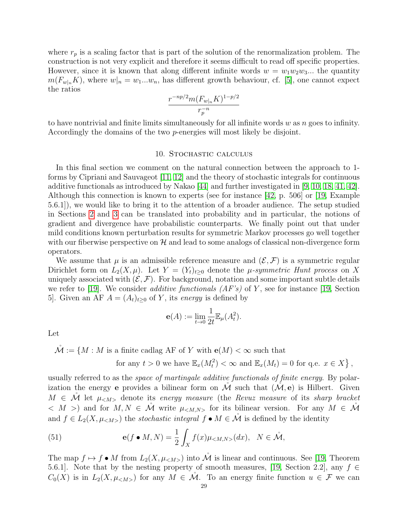where  $r_p$  is a scaling factor that is part of the solution of the renormalization problem. The construction is not very explicit and therefore it seems difficult to read off specific properties. However, since it is known that along different infinite words  $w = w_1w_2w_3...$  the quantity  $m(F_{w|n}K)$ , where  $w|_n = w_1...w_n$ , has different growth behaviour, cf. [\[5\]](#page-32-14), one cannot expect the ratios

$$
\frac{r^{-np/2}m(F_{w|_n}K)^{1-p/2}}{r_p^{-n}}
$$

to have nontrivial and finite limits simultaneously for all infinite words  $w$  as  $n$  goes to infinity. Accordingly the domains of the two p-energies will most likely be disjoint.

# 10. Stochastic calculus

<span id="page-28-0"></span>In this final section we comment on the natural connection between the approach to 1 forms by Cipriani and Sauvageot [\[11,](#page-32-1) [12\]](#page-32-2) and the theory of stochastic integrals for continuous additive functionals as introduced by Nakao [\[44\]](#page-33-1) and further investigated in [\[9,](#page-32-26) [10,](#page-32-27) [18,](#page-32-4) [41,](#page-33-27) [42\]](#page-33-28). Although this connection is known to experts (see for instance [\[42,](#page-33-28) p. 506] or [\[19,](#page-32-13) Example 5.6.1]), we would like to bring it to the attention of a broader audience. The setup studied in Sections [2](#page-4-0) and [3](#page-12-0) can be translated into probability and in particular, the notions of gradient and divergence have probabilistic counterparts. We finally point out that under mild conditions known perturbation results for symmetric Markov processes go well together with our fiberwise perspective on  $H$  and lead to some analogs of classical non-divergence form operators.

We assume that  $\mu$  is an admissible reference measure and  $(\mathcal{E}, \mathcal{F})$  is a symmetric regular Dirichlet form on  $L_2(X,\mu)$ . Let  $Y = (Y_t)_{t>0}$  denote the  $\mu$ -symmetric Hunt process on X uniquely associated with  $(\mathcal{E}, \mathcal{F})$ . For background, notation and some important subtle details we refer to [\[19\]](#page-32-13). We consider *additive functionals*  $AF's$  of Y, see for instance [\[19,](#page-32-13) Section 5. Given an AF  $A = (A_t)_{t>0}$  of Y, its energy is defined by

$$
\mathbf{e}(A) := \lim_{t \to 0} \frac{1}{2t} \mathbb{E}_{\mu}(A_t^2).
$$

Let

$$
\mathring{\mathcal{M}} := \{ M : M \text{ is a finite cadlag AF of } Y \text{ with } \mathbf{e}(M) < \infty \text{ such that}
$$
\n
$$
\text{for any } t > 0 \text{ we have } \mathbb{E}_x(M_t^2) < \infty \text{ and } \mathbb{E}_x(M_t) = 0 \text{ for q.e. } x \in X \} \,,
$$

usually referred to as the space of martingale additive functionals of finite energy. By polarization the energy e provides a bilinear form on  $\mathcal M$  such that  $(\mathcal M, e)$  is Hilbert. Given  $M \in \mathcal{M}$  let  $\mu_{\leq M>}$  denote its energy measure (the Revuz measure of its sharp bracket  $< M$  >) and for  $M, N \in \mathcal{M}$  write  $\mu_{< M, N>}$  for its bilinear version. For any  $M \in \mathcal{M}$ and  $f \in L_2(X, \mu_{\leq M>} )$  the stochastic integral  $f \bullet M \in \mathcal{M}$  is defined by the identity

<span id="page-28-1"></span>(51) 
$$
\mathbf{e}(f \bullet M, N) = \frac{1}{2} \int_X f(x) \mu_{\lt M, N>} (dx), \quad N \in \mathring{\mathcal{M}},
$$

The map  $f \mapsto f \bullet M$  from  $L_2(X, \mu_{\leq M})$  into  $\mathcal M$  is linear and continuous. See [\[19,](#page-32-13) Theorem 5.6.1]. Note that by the nesting property of smooth measures, [\[19,](#page-32-13) Section 2.2], any  $f \in$  $C_0(X)$  is in  $L_2(X, \mu_{\leq N>} )$  for any  $M \in \mathcal{M}$ . To an energy finite function  $u \in \mathcal{F}$  we can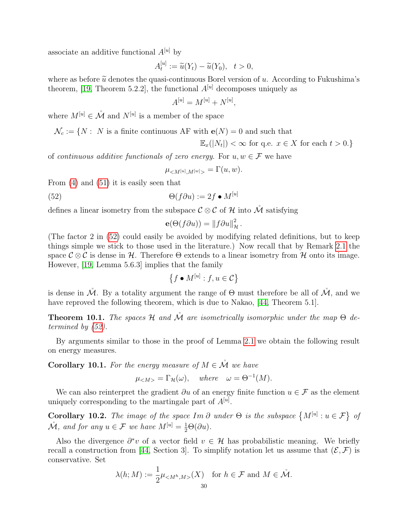associate an additive functional  $A^{[u]}$  by

$$
A_t^{[u]} := \widetilde{u}(Y_t) - \widetilde{u}(Y_0), \quad t > 0,
$$

where as before  $\tilde{u}$  denotes the quasi-continuous Borel version of u. According to Fukushima's theorem, [\[19,](#page-32-13) Theorem 5.2.2], the functional  $A^{[u]}$  decomposes uniquely as

$$
A^{[u]} = M^{[u]} + N^{[u]},
$$

where  $M^{[u]} \in \mathring{\mathcal{M}}$  and  $N^{[u]}$  is a member of the space

$$
\mathcal{N}_c := \{ N : N \text{ is a finite continuous AF with } \mathbf{e}(N) = 0 \text{ and such that }
$$

 $\mathbb{E}_x(|N_t|) < \infty$  for q.e.  $x \in X$  for each  $t > 0$ .

of continuous additive functionals of zero energy. For  $u, w \in \mathcal{F}$  we have

<span id="page-29-0"></span>
$$
\mu_{}=\Gamma(u,w).
$$

From [\(4\)](#page-4-3) and [\(51\)](#page-28-1) it is easily seen that

(52) 
$$
\Theta(f\partial u) := 2f \bullet M^{[u]}
$$

defines a linear isometry from the subspace  $\mathcal{C} \otimes \mathcal{C}$  of H into  $\mathcal{\hat{M}}$  satisfying

$$
\mathbf{e}(\Theta(f\partial u)) = ||f\partial u||_{\mathcal{H}}^2.
$$

(The factor 2 in [\(52\)](#page-29-0) could easily be avoided by modifying related definitions, but to keep things simple we stick to those used in the literature.) Now recall that by Remark [2.1](#page-4-6) the space  $\mathcal{C} \otimes \mathcal{C}$  is dense in H. Therefore  $\Theta$  extends to a linear isometry from H onto its image. However, [\[19,](#page-32-13) Lemma 5.6.3] implies that the family

$$
\{f \bullet M^{[u]} : f, u \in \mathcal{C}\}
$$

is dense in  $\mathcal M$ . By a totality argument the range of  $\Theta$  must therefore be all of  $\mathcal M$ , and we have reproved the following theorem, which is due to Nakao, [\[44,](#page-33-1) Theorem 5.1].

**Theorem 10.1.** The spaces H and  $\mathcal{\hat{M}}$  are isometrically isomorphic under the map  $\Theta$  determined by [\(52\)](#page-29-0).

By arguments similar to those in the proof of Lemma [2.1](#page-4-5) we obtain the following result on energy measures.

**Corollary 10.1.** For the energy measure of  $M \in \mathcal{M}$  we have

$$
\mu_{} = \Gamma_{\mathcal{H}}(\omega), \quad where \quad \omega = \Theta^{-1}(M).
$$

We can also reinterpret the gradient  $\partial u$  of an energy finite function  $u \in \mathcal{F}$  as the element uniquely corresponding to the martingale part of  $A^{[u]}$ .

**Corollary 10.2.** The image of the space  $Im \partial$  under  $\Theta$  is the subspace  $\{M^{[u]}: u \in \mathcal{F}\}\$  of  $\mathring{\mathcal{M}}$ , and for any  $u \in \mathcal{F}$  we have  $M^{[u]} = \frac{1}{2}\Theta(\partial u)$ .

Also the divergence  $\partial^* v$  of a vector field  $v \in \mathcal{H}$  has probabilistic meaning. We briefly recall a construction from [\[44,](#page-33-1) Section 3]. To simplify notation let us assume that  $(\mathcal{E}, \mathcal{F})$  is conservative. Set

$$
\lambda(h; M) := \frac{1}{2} \mu_{\leq M^h, M>} (X) \quad \text{for } h \in \mathcal{F} \text{ and } M \in \mathring{\mathcal{M}}.
$$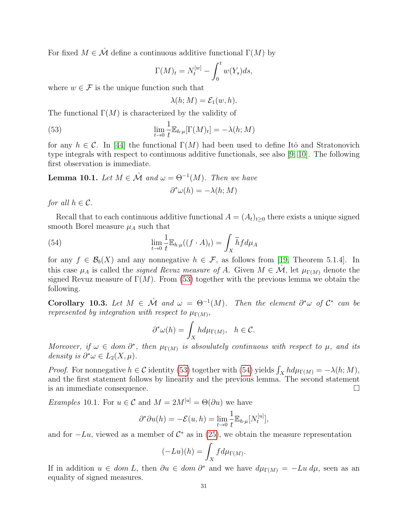For fixed  $M \in \mathring{\mathcal{M}}$  define a continuous additive functional  $\Gamma(M)$  by

$$
\Gamma(M)_t = N_t^{[w]} - \int_0^t w(Y_s)ds,
$$

where  $w \in \mathcal{F}$  is the unique function such that

<span id="page-30-0"></span>
$$
\lambda(h; M) = \mathcal{E}_1(w, h).
$$

The functional  $\Gamma(M)$  is characterized by the validity of

(53) 
$$
\lim_{t \to 0} \frac{1}{t} \mathbb{E}_{h \cdot \mu}[\Gamma(M)_t] = -\lambda(h; M)
$$

for any  $h \in \mathcal{C}$ . In [\[44\]](#page-33-1) the functional  $\Gamma(M)$  had been used to define Itô and Stratonovich type integrals with respect to continuous additive functionals, see also [\[9,](#page-32-26) [10\]](#page-32-27). The following first observation is immediate.

**Lemma 10.1.** Let  $M \in \mathcal{M}$  and  $\omega = \Theta^{-1}(M)$ . Then we have

<span id="page-30-1"></span>
$$
\partial^*\omega(h) = -\lambda(h;M)
$$

for all  $h \in \mathcal{C}$ .

Recall that to each continuous additive functional  $A = (A_t)_{t>0}$  there exists a unique signed smooth Borel measure  $\mu_A$  such that

(54) 
$$
\lim_{t \to 0} \frac{1}{t} \mathbb{E}_{h \cdot \mu}((f \cdot A)_t) = \int_X \widetilde{h} f d\mu_A
$$

for any  $f \in \mathcal{B}_b(X)$  and any nonnegative  $h \in \mathcal{F}$ , as follows from [\[19,](#page-32-13) Theorem 5.1.4]. In this case  $\mu_A$  is called the *signed Revuz measure of A*. Given  $M \in \mathcal{M}$ , let  $\mu_{\Gamma(M)}$  denote the signed Revuz measure of  $\Gamma(M)$ . From [\(53\)](#page-30-0) together with the previous lemma we obtain the following.

Corollary 10.3. Let  $M \in \mathcal{M}$  and  $\omega = \Theta^{-1}(M)$ . Then the element  $\partial^* \omega$  of  $\mathcal{C}^*$  can be represented by integration with respect to  $\mu_{\Gamma(M)}$ ,

$$
\partial^* \omega(h) = \int_X h d\mu_{\Gamma(M)}, \quad h \in \mathcal{C}.
$$

Moreover, if  $\omega \in dom \partial^*$ , then  $\mu_{\Gamma(M)}$  is absoulutely continuous with respect to  $\mu$ , and its density is  $\partial^* \omega \in L_2(X, \mu)$ .

*Proof.* For nonnegative  $h \in C$  identity [\(53\)](#page-30-0) together with [\(54\)](#page-30-1) yields  $\int_X h d\mu_{\Gamma(M)} = -\lambda(h; M)$ , and the first statement follows by linearity and the previous lemma. The second statement is an immediate consequence.

*Examples* 10.1. For  $u \in \mathcal{C}$  and  $M = 2M^{\lbrack u \rbrack} = \Theta(\partial u)$  we have

$$
\partial^* \partial u(h) = -\mathcal{E}(u,h) = \lim_{t \to 0} \frac{1}{t} \mathbb{E}_{h \cdot \mu}[N_t^{[u]}],
$$

and for  $-Lu$ , viewed as a member of  $\mathcal{C}^*$  as in [\(25\)](#page-13-1), we obtain the measure representation

$$
(-Lu)(h) = \int_X f d\mu_{\Gamma(M)}.
$$

If in addition  $u \in dom L$ , then  $\partial u \in dom \partial^*$  and we have  $d\mu_{\Gamma(M)} = -Lu \, d\mu$ , seen as an equality of signed measures.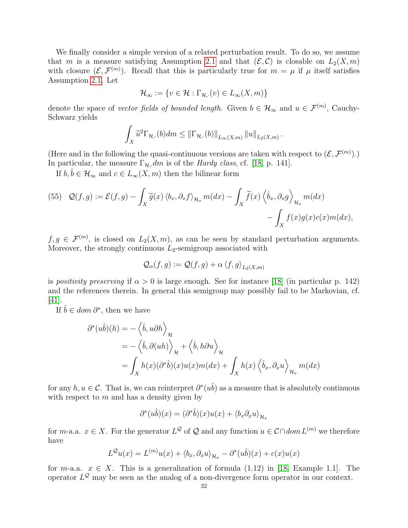We finally consider a simple version of a related perturbation result. To do so, we assume that m is a measure satisfying Assumption [2.1](#page-7-0) and that  $(\mathcal{E}, \mathcal{C})$  is closable on  $L_2(X, m)$ with closure  $(\mathcal{E}, \mathcal{F}^{(m)})$ . Recall that this is particularly true for  $m = \mu$  if  $\mu$  itself satisfies Assumption [2.1.](#page-7-0) Let

$$
\mathcal{H}_{\infty} := \{ v \in \mathcal{H} : \Gamma_{\mathcal{H},\cdot}(v) \in L_{\infty}(X,m) \}
$$

denote the space of vector fields of bounded length. Given  $b \in \mathcal{H}_{\infty}$  and  $u \in \mathcal{F}^{(m)}$ , Cauchy-Schwarz yields

$$
\int_X \widetilde{u}^2 \Gamma_{\mathcal{H},\cdot}(b) dm \leq \|\Gamma_{\mathcal{H},\cdot}(b)\|_{L_\infty(X,m)} \|u\|_{L_2(X,m)}.
$$

(Here and in the following the quasi-continuous versions are taken with respect to  $(\mathcal{E}, \mathcal{F}^{(m)})$ .) In particular, the measure  $\Gamma_{\mathcal{H},\cdot}dm$  is of the *Hardy class*, cf. [\[18,](#page-32-4) p. 141].

If  $b, \hat{b} \in \mathcal{H}_{\infty}$  and  $c \in L_{\infty}(X, m)$  then the bilinear form

(55) 
$$
\mathcal{Q}(f,g) := \mathcal{E}(f,g) - \int_X \widetilde{g}(x) \langle b_x, \partial_x f \rangle_{\mathcal{H}_x} m(dx) - \int_X \widetilde{f}(x) \langle \widehat{b}_x, \partial_x g \rangle_{\mathcal{H}_x} m(dx) - \int_X f(x) g(x) c(x) m(dx),
$$

 $f, g \in \mathcal{F}^{(m)}$ , is closed on  $L_2(X,m)$ , as can be seen by standard perturbation arguments. Moreover, the strongly continuous  $L_2$ -semigroup associated with

$$
\mathcal{Q}_{\alpha}(f,g) := \mathcal{Q}(f,g) + \alpha \left\langle f,g \right\rangle_{L_2(X,m)}
$$

is positivity preserving if  $\alpha > 0$  is large enough. See for instance [\[18\]](#page-32-4) (in particular p. 142) and the references therein. In general this semigroup may possibly fail to be Markovian, cf. [\[41\]](#page-33-27).

If  $\hat{b} \in dom \,\partial^*$ , then we have

$$
\partial^*(u\hat{b})(h) = -\langle \hat{b}, u\partial h \rangle_{\mathcal{H}}
$$
  
=  $-\langle \hat{b}, \partial(uh) \rangle_{\mathcal{H}} + \langle \hat{b}, h\partial u \rangle_{\mathcal{H}}$   
=  $\int_X h(x)(\partial^*\hat{b})(x)u(x)m(dx) + \int_X h(x)\langle \hat{b}_x, \partial_x u \rangle_{\mathcal{H}_x} m(dx)$ 

for any  $h, u \in \mathcal{C}$ . That is, we can reinterpret  $\partial^*(u\hat{b})$  as a measure that is absolutely continuous with respect to  $m$  and has a density given by

$$
\partial^*(u\hat{b})(x) = (\partial^*\hat{b})(x)u(x) + \langle b_x \partial_x u \rangle_{\mathcal{H}_x}
$$

for *m*-a.a.  $x \in X$ . For the generator  $L^{\mathcal{Q}}$  of  $\mathcal{Q}$  and any function  $u \in \mathcal{C} \cap dom L^{(m)}$  we therefore have

$$
L^{\mathcal{Q}}u(x) = L^{(m)}u(x) + \langle b_x, \partial_x u \rangle_{\mathcal{H}_x} - \partial^*(u\hat{b})(x) + c(x)u(x)
$$

for  $m$ -a.a.  $x \in X$ . This is a generalization of formula (1.12) in [\[18,](#page-32-4) Example 1.1]. The operator  $L^{\mathcal{Q}}$  may be seen as the analog of a non-divergence form operator in our context.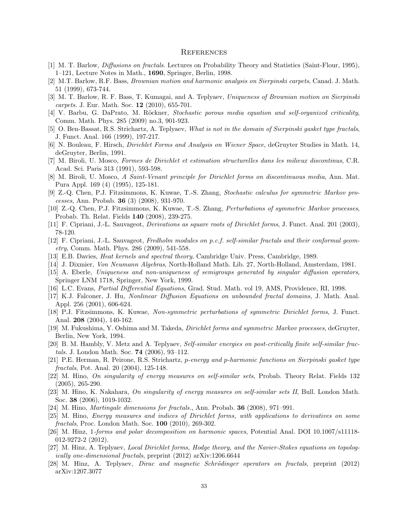#### **REFERENCES**

- <span id="page-32-0"></span>[1] M. T. Barlow, Diffusions on fractals. Lectures on Probability Theory and Statistics (Saint-Flour, 1995), 1–121, Lecture Notes in Math., 1690, Springer, Berlin, 1998.
- <span id="page-32-5"></span>[2] M.T. Barlow, R.F. Bass, Brownian motion and harmonic analysis on Sierpinski carpets, Canad. J. Math. 51 (1999), 673-744.
- <span id="page-32-6"></span>[3] M. T. Barlow, R. F. Bass, T. Kumagai, and A. Teplyaev, Uniqueness of Brownian motion on Sierpinski carpets. J. Eur. Math. Soc. 12 (2010), 655-701.
- <span id="page-32-10"></span>[4] V. Barbu, G. DaPrato, M. Röckner, Stochastic porous media equation and self-organized criticality, Comm. Math. Phys. 285 (2009) no.3, 901-923.
- <span id="page-32-14"></span>[5] O. Ben-Bassat, R.S. Strichartz, A. Teplyaev, What is not in the domain of Sierpinski gasket type fractals, J. Funct. Anal. 166 (1999), 197-217.
- <span id="page-32-19"></span>[6] N. Bouleau, F. Hirsch, Dirichlet Forms and Analysis on Wiener Space, deGruyter Studies in Math. 14, deGruyter, Berlin, 1991.
- <span id="page-32-22"></span>[7] M. Biroli, U. Mosco, Formes de Dirichlet et estimation structurelles dans les milieux discontinus, C.R. Acad. Sci. Paris 313 (1991), 593-598.
- <span id="page-32-23"></span>[8] M. Biroli, U. Mosco, A Saint-Venant principle for Dirichlet forms on discontinuous media, Ann. Mat. Pura Appl. 169 (4) (1995), 125-181.
- <span id="page-32-26"></span>[9] Z.-Q. Chen, P.J. Fitzsimmons, K. Kuwae, T.-S. Zhang, Stochastic calculus for symmetric Markov processes, Ann. Probab. 36 (3) (2008), 931-970.
- <span id="page-32-27"></span>[10] Z.-Q. Chen, P.J. Fitzsimmons, K. Kuwae, T.-S. Zhang, Perturbations of symmetric Markov processes, Probab. Th. Relat. Fields 140 (2008), 239-275.
- <span id="page-32-1"></span>[11] F. Cipriani, J.-L. Sauvageot, Derivations as square roots of Dirichlet forms, J. Funct. Anal. 201 (2003), 78-120.
- <span id="page-32-2"></span>[12] F. Cipriani, J.-L. Sauvageot, Fredholm modules on p.c.f. self-similar fractals and their conformal geometry, Comm. Math. Phys. 286 (2009), 541-558.
- <span id="page-32-24"></span>[13] E.B. Davies, Heat kernels and spectral theory, Cambridge Univ. Press, Cambridge, 1989.
- <span id="page-32-18"></span>[14] J. Dixmier, Von Neumann Algebras, North-Holland Math. Lib. 27, North-Holland, Amsterdam, 1981.
- <span id="page-32-3"></span>[15] A. Eberle, Uniqueness and non-uniqueness of semigroups generated by singular diffusion operators, Springer LNM 1718, Springer, New York, 1999.
- <span id="page-32-8"></span>[16] L.C. Evans, Partial Differential Equations, Grad. Stud. Math. vol 19, AMS, Providence, RI, 1998.
- <span id="page-32-9"></span>[17] K.J. Falconer, J. Hu, Nonlinear Diffusion Equations on unbounded fractal domains, J. Math. Anal. Appl. 256 (2001), 606-624.
- <span id="page-32-4"></span>[18] P.J. Fitzsimmons, K. Kuwae, Non-symmetric perturbations of symmetric Dirichlet forms, J. Funct. Anal. 208 (2004), 140-162.
- <span id="page-32-13"></span>[19] M. Fukushima, Y. Oshima and M. Takeda, *Dirichlet forms and symmetric Markov processes*, deGruyter, Berlin, New York, 1994.
- <span id="page-32-7"></span>[20] B. M. Hambly, V. Metz and A. Teplyaev, Self-similar energies on post-critically finite self-similar fractals. J. London Math. Soc. 74 (2006), 93–112.
- <span id="page-32-25"></span>[21] P.E. Herman, R. Peirone, R.S. Strichartz, p-energy and p-harmonic functions on Sierpinski gasket type fractals, Pot. Anal. 20 (2004), 125-148.
- <span id="page-32-15"></span>[22] M. Hino, On singularity of energy measures on self-similar sets, Probab. Theory Relat. Fields 132 (2005), 265-290.
- <span id="page-32-16"></span>[23] M. Hino, K. Nakahara, On singularity of energy measures on self-similar sets II, Bull. London Math. Soc. 38 (2006), 1019-1032.
- <span id="page-32-21"></span>[24] M. Hino, Martingale dimensions for fractals., Ann. Probab. 36 (2008), 971–991.
- <span id="page-32-17"></span>[25] M. Hino, Energy measures and indices of Dirichlet forms, with applications to derivatives on some fractals, Proc. London Math. Soc. 100 (2010), 269-302.
- <span id="page-32-20"></span>[26] M. Hinz, 1-forms and polar decomposition on harmonic spaces, Potential Anal. DOI 10.1007/s11118-012-9272-2 (2012).
- <span id="page-32-12"></span>[27] M. Hinz, A. Teplyaev, Local Dirichlet forms, Hodge theory, and the Navier-Stokes equations on topologically one-dimensional fractals, preprint (2012) arXiv:1206.6644
- <span id="page-32-11"></span>[28] M. Hinz, A. Teplyaev, *Dirac and magnetic Schrödinger operators on fractals*, preprint (2012) arXiv:1207.3077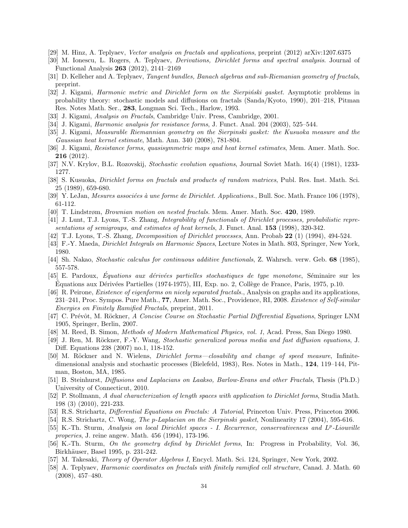- <span id="page-33-8"></span>[29] M. Hinz, A. Teplyaev, Vector analysis on fractals and applications, preprint (2012) arXiv:1207.6375
- <span id="page-33-0"></span>[30] M. Ionescu, L. Rogers, A. Teplyaev, Derivations, Dirichlet forms and spectral analysis. Journal of Functional Analysis 263 (2012), 2141–2169
- [31] D. Kelleher and A. Teplyaev, Tangent bundles, Banach algebras and sub-Riemanian geometry of fractals, preprint.
- <span id="page-33-16"></span>[32] J. Kigami, *Harmonic metric and Dirichlet form on the Sierpiński gasket.* Asymptotic problems in probability theory: stochastic models and diffusions on fractals (Sanda/Kyoto, 1990), 201–218, Pitman Res. Notes Math. Ser., 283, Longman Sci. Tech., Harlow, 1993.
- <span id="page-33-2"></span>[33] J. Kigami, Analysis on Fractals, Cambridge Univ. Press, Cambridge, 2001.
- <span id="page-33-22"></span>[34] J. Kigami, Harmonic analysis for resistance forms, J. Funct. Anal. 204 (2003), 525–544.
- <span id="page-33-11"></span>[35] J. Kigami, Measurable Riemannian geometry on the Sierpinski gasket: the Kusuoka measure and the Gaussian heat kernel estimate, Math. Ann. 340 (2008), 781-804.
- <span id="page-33-15"></span>[36] J. Kigami, Resistance forms, quasisymmetric maps and heat kernel estimates, Mem. Amer. Math. Soc. 216 (2012).
- <span id="page-33-23"></span>[37] N.V. Krylov, B.L. Rozovskij, Stochastic evolution equations, Journal Soviet Math. 16(4) (1981), 1233- 1277.
- <span id="page-33-10"></span>[38] S. Kusuoka, Dirichlet forms on fractals and products of random matrices, Publ. Res. Inst. Math. Sci. 25 (1989), 659-680.
- <span id="page-33-9"></span>[39] Y. LeJan, Mesures associées à une forme de Dirichlet. Applications., Bull. Soc. Math. France 106 (1978), 61-112.
- <span id="page-33-4"></span>[40] T. Lindstrøm, Brownian motion on nested fractals. Mem. Amer. Math. Soc. 420, 1989.
- <span id="page-33-27"></span>[41] J. Lunt, T.J. Lyons, T.-S. Zhang, Integrability of functionals of Dirichlet processes, probabilistic representations of semigroups, and estimates of heat kernels, J. Funct. Anal. **153** (1998), 320-342.
- <span id="page-33-28"></span>[42] T.J. Lyons, T.-S. Zhang, Decomposition of Dirichlet processes, Ann. Probab 22 (1) (1994), 494-524.
- <span id="page-33-17"></span>[43] F.-Y. Maeda, *Dirichlet Integrals on Harmonic Spaces*, Lecture Notes in Math. 803, Springer, New York, 1980.
- <span id="page-33-1"></span>[44] Sh. Nakao, Stochastic calculus for continuous additive functionals, Z. Wahrsch. verw. Geb. 68 (1985), 557-578.
- <span id="page-33-24"></span>[45] E. Pardoux, *Équations aux dérivées partielles stochastiques de type monotone*, Séminaire sur les Equations aux Dérivées Partielles (1974-1975), III, Exp. no. 2, Collège de France, Paris, 1975, p.10.
- <span id="page-33-5"></span>[46] R. Peirone, *Existence of eigenforms on nicely separated fractals.*, Analysis on graphs and its applications, 231–241, Proc. Sympos. Pure Math., 77, Amer. Math. Soc., Providence, RI, 2008. Existence of Self-similar Energies on Finitely Ramified Fractals, preprint, 2011.
- <span id="page-33-25"></span>[47] C. Prévôt, M. Röckner, A Concise Course on Stochastic Partial Differential Equations, Springer LNM 1905, Springer, Berlin, 2007.
- <span id="page-33-21"></span>[48] M. Reed, B. Simon, Methods of Modern Mathematical Physics, vol. 1, Acad. Press, San Diego 1980.
- <span id="page-33-7"></span>[49] J. Ren, M. Röckner, F.-Y. Wang, Stochastic generalized porous media and fast diffusion equations, J. Diff. Equations 238 (2007) no.1, 118-152.
- <span id="page-33-14"></span>[50] M. Röckner and N. Wielens, *Dirichlet forms—closability and change of speed measure*, Infinitedimensional analysis and stochastic processes (Bielefeld, 1983), Res. Notes in Math., 124, 119–144, Pitman, Boston, MA, 1985.
- <span id="page-33-6"></span>[51] B. Steinhurst, Diffusions and Laplacians on Laakso, Barlow-Evans and other Fractals, Thesis (Ph.D.) University of Connecticut, 2010.
- <span id="page-33-20"></span>[52] P. Stollmann, A dual characterization of length spaces with application to Dirichlet forms, Studia Math. 198 (3) (2010), 221-233.
- <span id="page-33-3"></span>[53] R.S. Strichartz, Differential Equations on Fractals: A Tutorial, Princeton Univ. Press, Princeton 2006.
- <span id="page-33-26"></span>[54] R.S. Strichartz, C. Wong, The p-Laplacian on the Sierpinski gasket, Nonlinearity 17 (2004), 595-616.
- <span id="page-33-18"></span>[55] K.-Th. Sturm, Analysis on local Dirichlet spaces - I. Recurrence, conservativeness and L<sup>p</sup>-Liouville properies, J. reine angew. Math. 456 (1994), 173-196.
- <span id="page-33-19"></span>[56] K.-Th. Sturm, On the geometry defind by Dirichlet forms, In: Progress in Probability, Vol. 36, Birkhäuser, Basel 1995, p. 231-242.
- <span id="page-33-13"></span>[57] M. Takesaki, *Theory of Operator Algebras I*, Encycl. Math. Sci. 124, Springer, New York, 2002.
- <span id="page-33-12"></span>[58] A. Teplyaev, Harmonic coordinates on fractals with finitely ramified cell structure, Canad. J. Math. 60 (2008), 457–480.